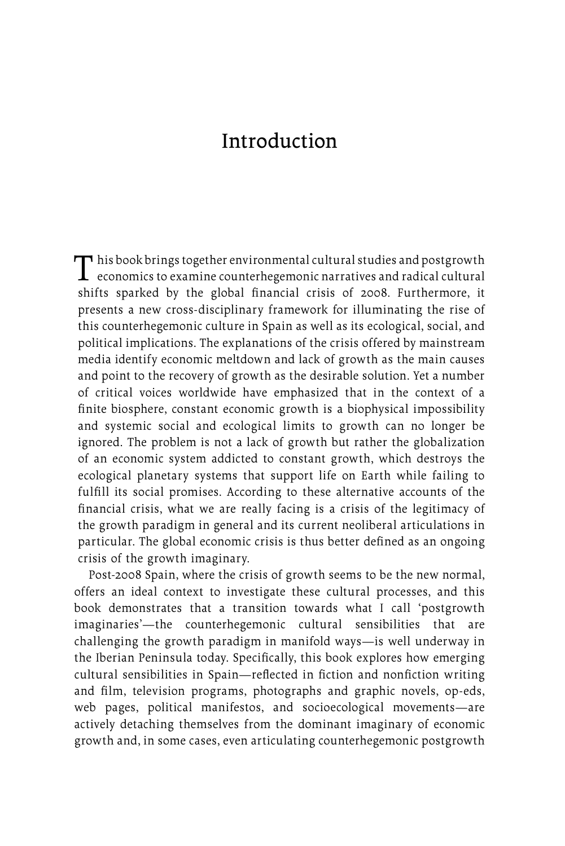This book brings together environmental cultural studies and postgrowth<br>economics to examine counterhegemonic narratives and radical cultural shifts sparked by the global financial crisis of 2008. Furthermore, it presents a new cross-disciplinary framework for illuminating the rise of this counterhegemonic culture in Spain as well as its ecological, social, and political implications. The explanations of the crisis offered by mainstream media identify economic meltdown and lack of growth as the main causes and point to the recovery of growth as the desirable solution. Yet a number of critical voices worldwide have emphasized that in the context of a finite biosphere, constant economic growth is a biophysical impossibility and systemic social and ecological limits to growth can no longer be ignored. The problem is not a lack of growth but rather the globalization of an economic system addicted to constant growth, which destroys the ecological planetary systems that support life on Earth while failing to fulfill its social promises. According to these alternative accounts of the financial crisis, what we are really facing is a crisis of the legitimacy of the growth paradigm in general and its current neoliberal articulations in particular. The global economic crisis is thus better defined as an ongoing crisis of the growth imaginary.

Post-2008 Spain, where the crisis of growth seems to be the new normal, offers an ideal context to investigate these cultural processes, and this book demonstrates that a transition towards what I call 'postgrowth imaginaries'—the counterhegemonic cultural sensibilities that are challenging the growth paradigm in manifold ways—is well underway in the Iberian Peninsula today. Specifically, this book explores how emerging cultural sensibilities in Spain—reflected in fiction and nonfiction writing and film, television programs, photographs and graphic novels, op-eds, web pages, political manifestos, and socioecological movements—are actively detaching themselves from the dominant imaginary of economic growth and, in some cases, even articulating counterhegemonic postgrowth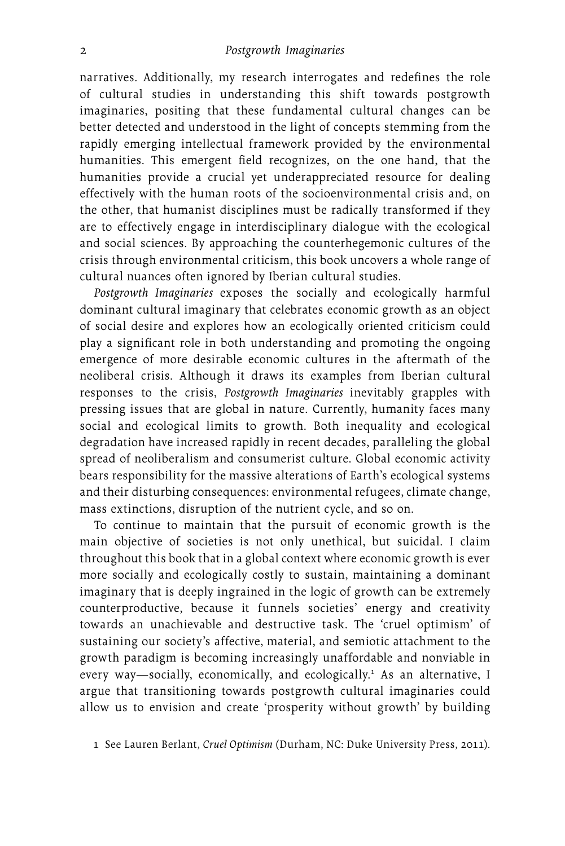narratives. Additionally, my research interrogates and redefines the role of cultural studies in understanding this shift towards postgrowth imaginaries, positing that these fundamental cultural changes can be better detected and understood in the light of concepts stemming from the rapidly emerging intellectual framework provided by the environmental humanities. This emergent field recognizes, on the one hand, that the humanities provide a crucial yet underappreciated resource for dealing effectively with the human roots of the socioenvironmental crisis and, on the other, that humanist disciplines must be radically transformed if they are to effectively engage in interdisciplinary dialogue with the ecological and social sciences. By approaching the counterhegemonic cultures of the crisis through environmental criticism, this book uncovers a whole range of cultural nuances often ignored by Iberian cultural studies.

*Postgrowth Imaginaries* exposes the socially and ecologically harmful dominant cultural imaginary that celebrates economic growth as an object of social desire and explores how an ecologically oriented criticism could play a significant role in both understanding and promoting the ongoing emergence of more desirable economic cultures in the aftermath of the neoliberal crisis. Although it draws its examples from Iberian cultural responses to the crisis, *Postgrowth Imaginaries* inevitably grapples with pressing issues that are global in nature. Currently, humanity faces many social and ecological limits to growth. Both inequality and ecological degradation have increased rapidly in recent decades, paralleling the global spread of neoliberalism and consumerist culture. Global economic activity bears responsibility for the massive alterations of Earth's ecological systems and their disturbing consequences: environmental refugees, climate change, mass extinctions, disruption of the nutrient cycle, and so on.

To continue to maintain that the pursuit of economic growth is the main objective of societies is not only unethical, but suicidal. I claim throughout this book that in a global context where economic growth is ever more socially and ecologically costly to sustain, maintaining a dominant imaginary that is deeply ingrained in the logic of growth can be extremely counterproductive, because it funnels societies' energy and creativity towards an unachievable and destructive task. The 'cruel optimism' of sustaining our society's affective, material, and semiotic attachment to the growth paradigm is becoming increasingly unaffordable and nonviable in every way—socially, economically, and ecologically.<sup>1</sup> As an alternative, I argue that transitioning towards postgrowth cultural imaginaries could allow us to envision and create 'prosperity without growth' by building

1 See Lauren Berlant, *Cruel Optimism* (Durham, NC: Duke University Press, 2011).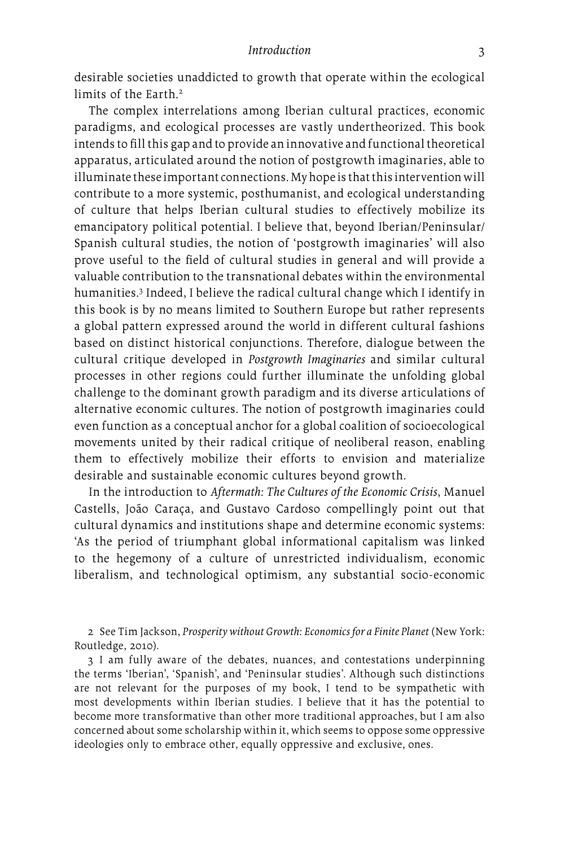desirable societies unaddicted to growth that operate within the ecological limits of the Earth.2

The complex interrelations among Iberian cultural practices, economic paradigms, and ecological processes are vastly undertheorized. This book intends to fill this gap and to provide an innovative and functional theoretical apparatus, articulated around the notion of postgrowth imaginaries, able to illuminate these important connections. My hope is that this intervention will contribute to a more systemic, posthumanist, and ecological understanding of culture that helps Iberian cultural studies to effectively mobilize its emancipatory political potential. I believe that, beyond Iberian/Peninsular/ Spanish cultural studies, the notion of 'postgrowth imaginaries' will also prove useful to the field of cultural studies in general and will provide a valuable contribution to the transnational debates within the environmental humanities.3 Indeed, I believe the radical cultural change which I identify in this book is by no means limited to Southern Europe but rather represents a global pattern expressed around the world in different cultural fashions based on distinct historical conjunctions. Therefore, dialogue between the cultural critique developed in *Postgrowth Imaginaries* and similar cultural processes in other regions could further illuminate the unfolding global challenge to the dominant growth paradigm and its diverse articulations of alternative economic cultures. The notion of postgrowth imaginaries could even function as a conceptual anchor for a global coalition of socioecological movements united by their radical critique of neoliberal reason, enabling them to effectively mobilize their efforts to envision and materialize desirable and sustainable economic cultures beyond growth.

In the introduction to *Aftermath: The Cultures of the Economic Crisis*, Manuel Castells, João Caraça, and Gustavo Cardoso compellingly point out that cultural dynamics and institutions shape and determine economic systems: 'As the period of triumphant global informational capitalism was linked to the hegemony of a culture of unrestricted individualism, economic liberalism, and technological optimism, any substantial socio-economic

2 See Tim Jackson, *Prosperity without Growth: Economics for a Finite Planet* (New York: Routledge, 2010).

3 I am fully aware of the debates, nuances, and contestations underpinning the terms 'Iberian', 'Spanish', and 'Peninsular studies'. Although such distinctions are not relevant for the purposes of my book, I tend to be sympathetic with most developments within Iberian studies. I believe that it has the potential to become more transformative than other more traditional approaches, but I am also concerned about some scholarship within it, which seems to oppose some oppressive ideologies only to embrace other, equally oppressive and exclusive, ones.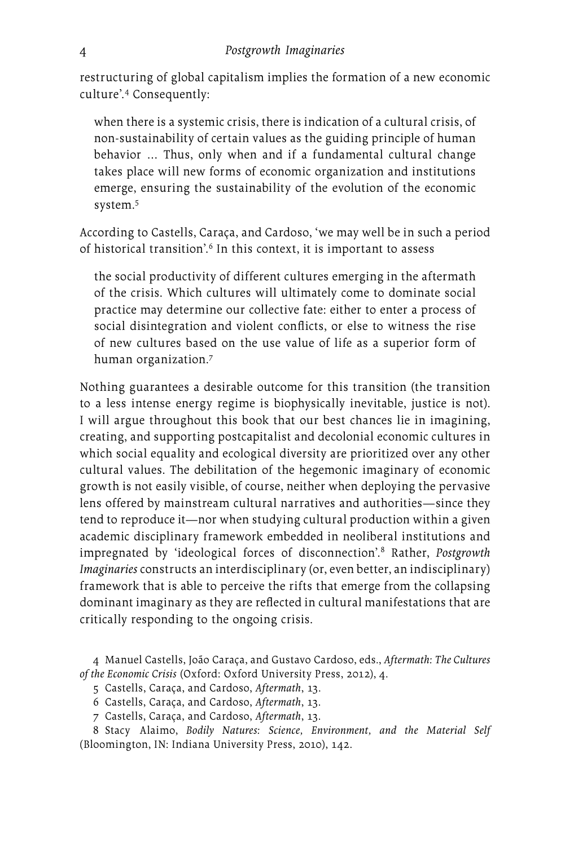restructuring of global capitalism implies the formation of a new economic culture'.4 Consequently:

when there is a systemic crisis, there is indication of a cultural crisis, of non-sustainability of certain values as the guiding principle of human behavior … Thus, only when and if a fundamental cultural change takes place will new forms of economic organization and institutions emerge, ensuring the sustainability of the evolution of the economic system.5

According to Castells, Caraça, and Cardoso, 'we may well be in such a period of historical transition'.<sup>6</sup> In this context, it is important to assess

the social productivity of different cultures emerging in the aftermath of the crisis. Which cultures will ultimately come to dominate social practice may determine our collective fate: either to enter a process of social disintegration and violent conflicts, or else to witness the rise of new cultures based on the use value of life as a superior form of human organization.7

Nothing guarantees a desirable outcome for this transition (the transition to a less intense energy regime is biophysically inevitable, justice is not). I will argue throughout this book that our best chances lie in imagining, creating, and supporting postcapitalist and decolonial economic cultures in which social equality and ecological diversity are prioritized over any other cultural values. The debilitation of the hegemonic imaginary of economic growth is not easily visible, of course, neither when deploying the pervasive lens offered by mainstream cultural narratives and authorities—since they tend to reproduce it—nor when studying cultural production within a given academic disciplinary framework embedded in neoliberal institutions and impregnated by 'ideological forces of disconnection'.8 Rather, *Postgrowth Imaginaries* constructs an interdisciplinary (or, even better, an indisciplinary) framework that is able to perceive the rifts that emerge from the collapsing dominant imaginary as they are reflected in cultural manifestations that are critically responding to the ongoing crisis.

4 Manuel Castells, João Caraça, and Gustavo Cardoso, eds., *Aftermath: The Cultures of the Economic Crisis* (Oxford: Oxford University Press, 2012), 4.

5 Castells, Caraça, and Cardoso, *Aftermath*, 13.

6 Castells, Caraça, and Cardoso, *Aftermath*, 13.

7 Castells, Caraça, and Cardoso, *Aftermath*, 13.

8 Stacy Alaimo, *Bodily Natures: Science, Environment, and the Material Self*  (Bloomington, IN: Indiana University Press, 2010), 142.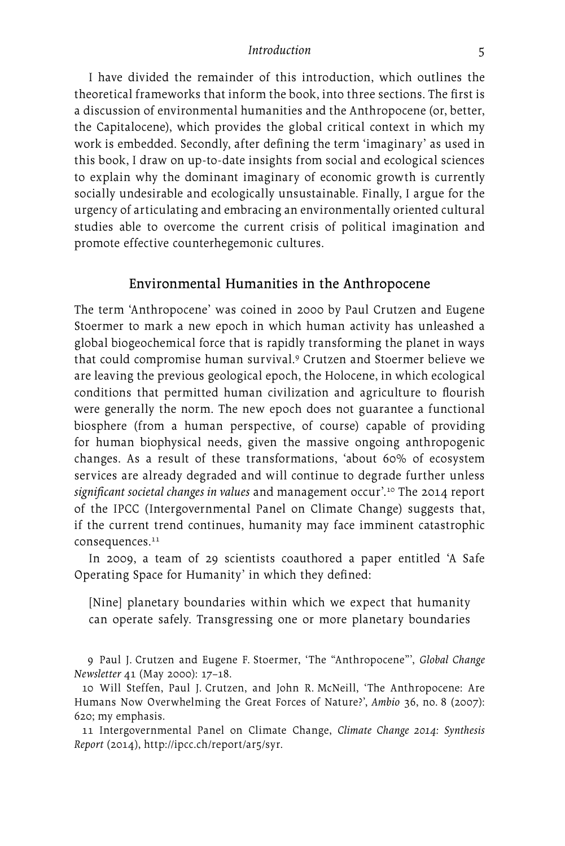I have divided the remainder of this introduction, which outlines the theoretical frameworks that inform the book, into three sections. The first is a discussion of environmental humanities and the Anthropocene (or, better, the Capitalocene), which provides the global critical context in which my work is embedded. Secondly, after defining the term 'imaginary' as used in this book, I draw on up-to-date insights from social and ecological sciences to explain why the dominant imaginary of economic growth is currently socially undesirable and ecologically unsustainable. Finally, I argue for the urgency of articulating and embracing an environmentally oriented cultural studies able to overcome the current crisis of political imagination and promote effective counterhegemonic cultures.

#### Environmental Humanities in the Anthropocene

The term 'Anthropocene' was coined in 2000 by Paul Crutzen and Eugene Stoermer to mark a new epoch in which human activity has unleashed a global biogeochemical force that is rapidly transforming the planet in ways that could compromise human survival.9 Crutzen and Stoermer believe we are leaving the previous geological epoch, the Holocene, in which ecological conditions that permitted human civilization and agriculture to flourish were generally the norm. The new epoch does not guarantee a functional biosphere (from a human perspective, of course) capable of providing for human biophysical needs, given the massive ongoing anthropogenic changes. As a result of these transformations, 'about 60% of ecosystem services are already degraded and will continue to degrade further unless *significant societal changes in values* and management occur'.10 The 2014 report of the IPCC (Intergovernmental Panel on Climate Change) suggests that, if the current trend continues, humanity may face imminent catastrophic consequences.<sup>11</sup>

In 2009, a team of 29 scientists coauthored a paper entitled 'A Safe Operating Space for Humanity' in which they defined:

[Nine] planetary boundaries within which we expect that humanity can operate safely. Transgressing one or more planetary boundaries

9 Paul J. Crutzen and Eugene F. Stoermer, 'The "Anthropocene"', *Global Change Newsletter* 41 (May 2000): 17–18.

10 Will Steffen, Paul J. Crutzen, and John R. McNeill, 'The Anthropocene: Are Humans Now Overwhelming the Great Forces of Nature?', *Ambio* 36, no. 8 (2007): 620; my emphasis.

11 Intergovernmental Panel on Climate Change, *Climate Change 2014: Synthesis Report* (2014), [http://ipcc.ch/report/ar5/syr.](http://ipcc.ch/report/ar5/syr)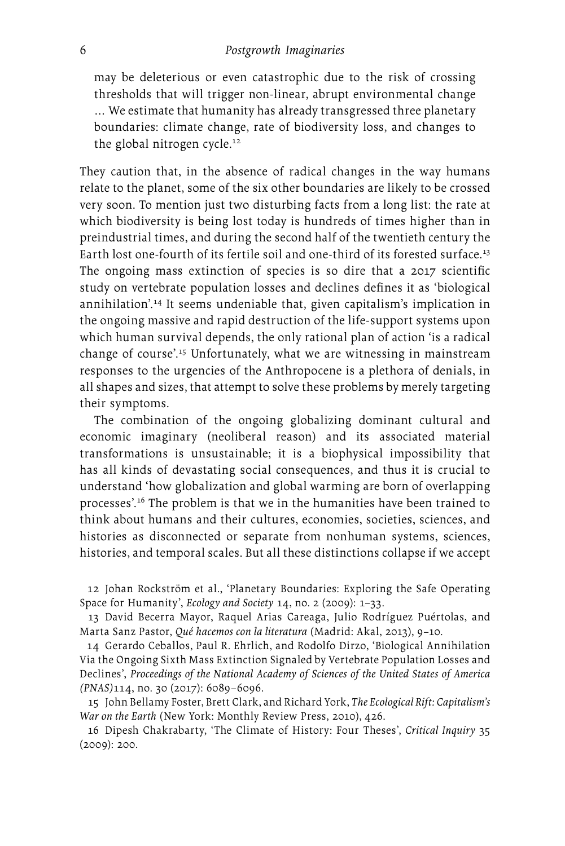may be deleterious or even catastrophic due to the risk of crossing thresholds that will trigger non-linear, abrupt environmental change … We estimate that humanity has already transgressed three planetary boundaries: climate change, rate of biodiversity loss, and changes to the global nitrogen cycle.<sup>12</sup>

They caution that, in the absence of radical changes in the way humans relate to the planet, some of the six other boundaries are likely to be crossed very soon. To mention just two disturbing facts from a long list: the rate at which biodiversity is being lost today is hundreds of times higher than in preindustrial times, and during the second half of the twentieth century the Earth lost one-fourth of its fertile soil and one-third of its forested surface.<sup>13</sup> The ongoing mass extinction of species is so dire that a 2017 scientific study on vertebrate population losses and declines defines it as 'biological annihilation'.14 It seems undeniable that, given capitalism's implication in the ongoing massive and rapid destruction of the life-support systems upon which human survival depends, the only rational plan of action 'is a radical change of course'.15 Unfortunately, what we are witnessing in mainstream responses to the urgencies of the Anthropocene is a plethora of denials, in all shapes and sizes, that attempt to solve these problems by merely targeting their symptoms.

The combination of the ongoing globalizing dominant cultural and economic imaginary (neoliberal reason) and its associated material transformations is unsustainable; it is a biophysical impossibility that has all kinds of devastating social consequences, and thus it is crucial to understand 'how globalization and global warming are born of overlapping processes'.16 The problem is that we in the humanities have been trained to think about humans and their cultures, economies, societies, sciences, and histories as disconnected or separate from nonhuman systems, sciences, histories, and temporal scales. But all these distinctions collapse if we accept

12 Johan Rockström et al., 'Planetary Boundaries: Exploring the Safe Operating Space for Humanity', *Ecology and Society* 14, no. 2 (2009): 1–33.

13 David Becerra Mayor, Raquel Arias Careaga, Julio Rodríguez Puértolas, and Marta Sanz Pastor, *Qué hacemos con la literatura* (Madrid: Akal, 2013), 9–10.

14 Gerardo Ceballos, Paul R. Ehrlich, and Rodolfo Dirzo, 'Biological Annihilation Via the Ongoing Sixth Mass Extinction Signaled by Vertebrate Population Losses and Declines', *Proceedings of the National Academy of Sciences of the United States of America (PNAS)*114, no. 30 (2017): 6089–6096.

15 John Bellamy Foster, Brett Clark, and Richard York, *The Ecological Rift: Capitalism's War on the Earth* (New York: Monthly Review Press, 2010), 426.

16 Dipesh Chakrabarty, 'The Climate of History: Four Theses', *Critical Inquiry* 35 (2009): 200.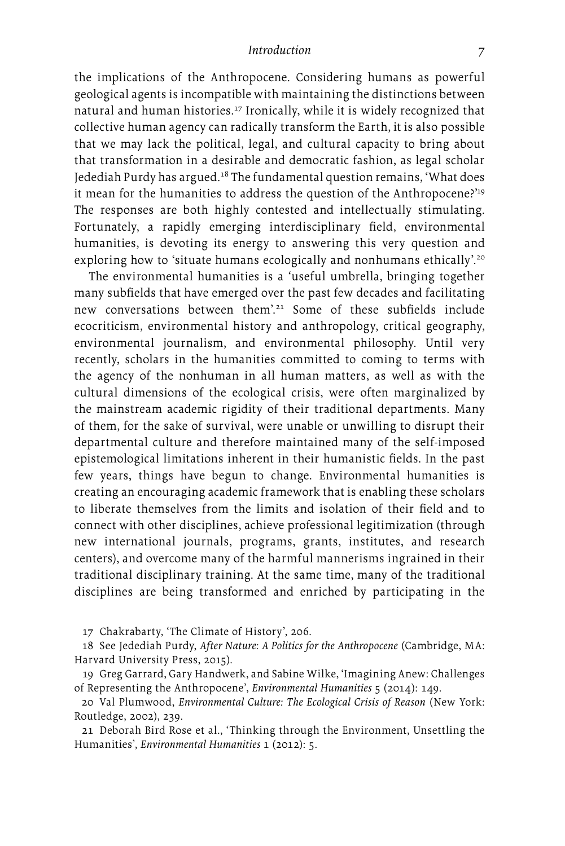the implications of the Anthropocene. Considering humans as powerful geological agents is incompatible with maintaining the distinctions between natural and human histories.<sup>17</sup> Ironically, while it is widely recognized that collective human agency can radically transform the Earth, it is also possible that we may lack the political, legal, and cultural capacity to bring about that transformation in a desirable and democratic fashion, as legal scholar Jedediah Purdy has argued.18 The fundamental question remains, 'What does it mean for the humanities to address the question of the Anthropocene?'<sup>19</sup> The responses are both highly contested and intellectually stimulating. Fortunately, a rapidly emerging interdisciplinary field, environmental humanities, is devoting its energy to answering this very question and exploring how to 'situate humans ecologically and nonhumans ethically'.<sup>20</sup>

The environmental humanities is a 'useful umbrella, bringing together many subfields that have emerged over the past few decades and facilitating new conversations between them'.<sup>21</sup> Some of these subfields include ecocriticism, environmental history and anthropology, critical geography, environmental journalism, and environmental philosophy. Until very recently, scholars in the humanities committed to coming to terms with the agency of the nonhuman in all human matters, as well as with the cultural dimensions of the ecological crisis, were often marginalized by the mainstream academic rigidity of their traditional departments. Many of them, for the sake of survival, were unable or unwilling to disrupt their departmental culture and therefore maintained many of the self-imposed epistemological limitations inherent in their humanistic fields. In the past few years, things have begun to change. Environmental humanities is creating an encouraging academic framework that is enabling these scholars to liberate themselves from the limits and isolation of their field and to connect with other disciplines, achieve professional legitimization (through new international journals, programs, grants, institutes, and research centers), and overcome many of the harmful mannerisms ingrained in their traditional disciplinary training. At the same time, many of the traditional disciplines are being transformed and enriched by participating in the

17 Chakrabarty, 'The Climate of History', 206.

18 See Jedediah Purdy, *After Nature: A Politics for the Anthropocene* (Cambridge, MA: Harvard University Press, 2015).

19 Greg Garrard, Gary Handwerk, and Sabine Wilke, 'Imagining Anew: Challenges of Representing the Anthropocene', *Environmental Humanities* 5 (2014): 149.

20 Val Plumwood, *Environmental Culture: The Ecological Crisis of Reason* (New York: Routledge, 2002), 239.

21 Deborah Bird Rose et al., 'Thinking through the Environment, Unsettling the Humanities', *Environmental Humanities* 1 (2012): 5.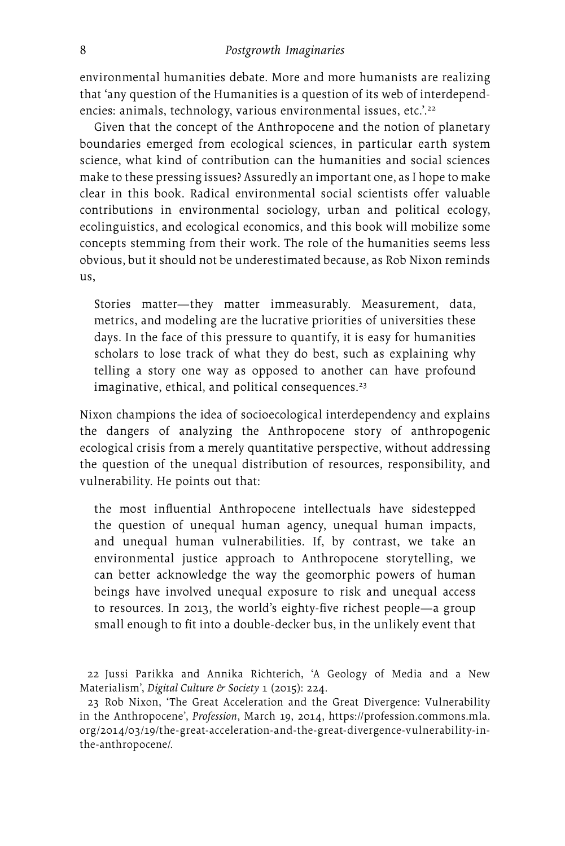environmental humanities debate. More and more humanists are realizing that 'any question of the Humanities is a question of its web of interdependencies: animals, technology, various environmental issues, etc.'.<sup>22</sup>

Given that the concept of the Anthropocene and the notion of planetary boundaries emerged from ecological sciences, in particular earth system science, what kind of contribution can the humanities and social sciences make to these pressing issues? Assuredly an important one, as I hope to make clear in this book. Radical environmental social scientists offer valuable contributions in environmental sociology, urban and political ecology, ecolinguistics, and ecological economics, and this book will mobilize some concepts stemming from their work. The role of the humanities seems less obvious, but it should not be underestimated because, as Rob Nixon reminds us,

Stories matter—they matter immeasurably. Measurement, data, metrics, and modeling are the lucrative priorities of universities these days. In the face of this pressure to quantify, it is easy for humanities scholars to lose track of what they do best, such as explaining why telling a story one way as opposed to another can have profound  $imagnitude, ethical, and political consequences.<sup>23</sup>$ 

Nixon champions the idea of socioecological interdependency and explains the dangers of analyzing the Anthropocene story of anthropogenic ecological crisis from a merely quantitative perspective, without addressing the question of the unequal distribution of resources, responsibility, and vulnerability. He points out that:

the most influential Anthropocene intellectuals have sidestepped the question of unequal human agency, unequal human impacts, and unequal human vulnerabilities. If, by contrast, we take an environmental justice approach to Anthropocene storytelling, we can better acknowledge the way the geomorphic powers of human beings have involved unequal exposure to risk and unequal access to resources. In 2013, the world's eighty-five richest people—a group small enough to fit into a double-decker bus, in the unlikely event that

22 Jussi Parikka and Annika Richterich, 'A Geology of Media and a New Materialism', *Digital Culture & Society* 1 (2015): 224.

23 Rob Nixon, 'The Great Acceleration and the Great Divergence: Vulnerability in the Anthropocene', *Profession*, March 19, 2014, [https://profession.commons.mla.](https://profession.commons.mla.org/2014/03/19/the) [org/2014/03/19/the-](https://profession.commons.mla.org/2014/03/19/the)great-acceleration-and-the-great-divergence-vulnerability-inthe-anthropocene/.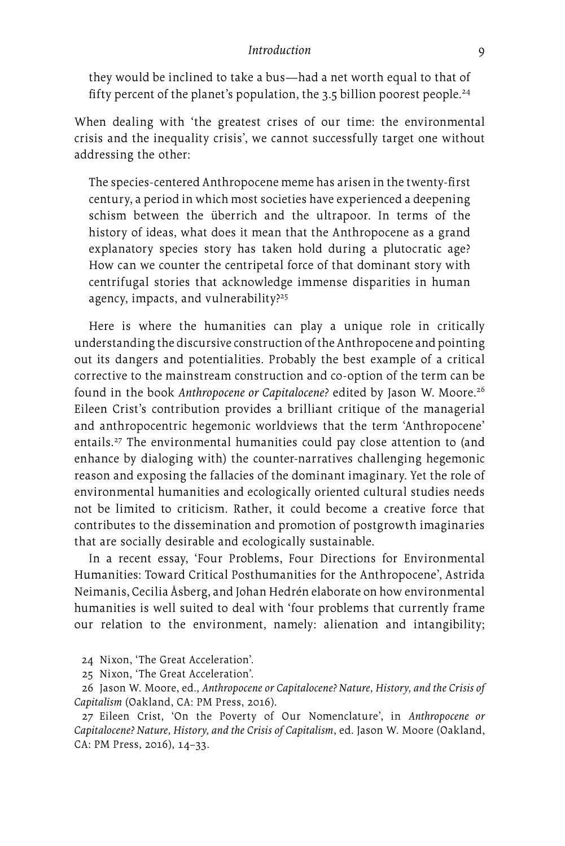they would be inclined to take a bus—had a net worth equal to that of fifty percent of the planet's population, the 3.5 billion poorest people.<sup>24</sup>

When dealing with 'the greatest crises of our time: the environmental crisis and the inequality crisis', we cannot successfully target one without addressing the other:

The species-centered Anthropocene meme has arisen in the twenty-first century, a period in which most societies have experienced a deepening schism between the überrich and the ultrapoor. In terms of the history of ideas, what does it mean that the Anthropocene as a grand explanatory species story has taken hold during a plutocratic age? How can we counter the centripetal force of that dominant story with centrifugal stories that acknowledge immense disparities in human agency, impacts, and vulnerability?<sup>25</sup>

Here is where the humanities can play a unique role in critically understanding the discursive construction of the Anthropocene and pointing out its dangers and potentialities. Probably the best example of a critical corrective to the mainstream construction and co-option of the term can be found in the book *Anthropocene or Capitalocene?* edited by Jason W. Moore.26 Eileen Crist's contribution provides a brilliant critique of the managerial and anthropocentric hegemonic worldviews that the term 'Anthropocene' entails.27 The environmental humanities could pay close attention to (and enhance by dialoging with) the counter-narratives challenging hegemonic reason and exposing the fallacies of the dominant imaginary. Yet the role of environmental humanities and ecologically oriented cultural studies needs not be limited to criticism. Rather, it could become a creative force that contributes to the dissemination and promotion of postgrowth imaginaries that are socially desirable and ecologically sustainable.

In a recent essay, 'Four Problems, Four Directions for Environmental Humanities: Toward Critical Posthumanities for the Anthropocene', Astrida Neimanis, Cecilia Åsberg, and Johan Hedrén elaborate on how environmental humanities is well suited to deal with 'four problems that currently frame our relation to the environment, namely: alienation and intangibility;

- 24 Nixon, 'The Great Acceleration'.
- 25 Nixon, 'The Great Acceleration'.

26 Jason W. Moore, ed., *Anthropocene or Capitalocene? Nature, History, and the Crisis of Capitalism* (Oakland, CA: PM Press, 2016).

27 Eileen Crist, 'On the Poverty of Our Nomenclature', in *Anthropocene or Capitalocene? Nature, History, and the Crisis of Capitalism*, ed. Jason W. Moore (Oakland, CA: PM Press, 2016), 14–33.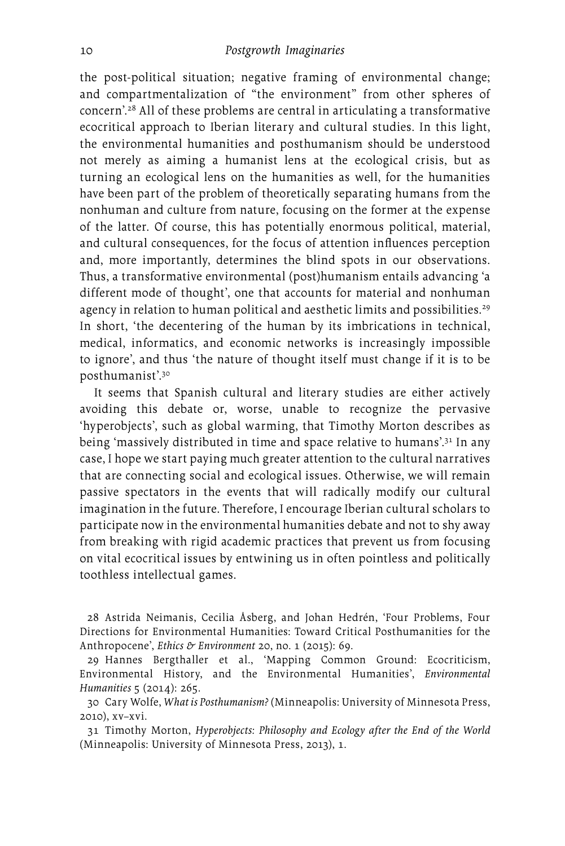the post-political situation; negative framing of environmental change; and compartmentalization of "the environment" from other spheres of concern'.28 All of these problems are central in articulating a transformative ecocritical approach to Iberian literary and cultural studies. In this light, the environmental humanities and posthumanism should be understood not merely as aiming a humanist lens at the ecological crisis, but as turning an ecological lens on the humanities as well, for the humanities have been part of the problem of theoretically separating humans from the nonhuman and culture from nature, focusing on the former at the expense of the latter. Of course, this has potentially enormous political, material, and cultural consequences, for the focus of attention influences perception and, more importantly, determines the blind spots in our observations. Thus, a transformative environmental (post)humanism entails advancing 'a different mode of thought', one that accounts for material and nonhuman agency in relation to human political and aesthetic limits and possibilities.<sup>29</sup> In short, 'the decentering of the human by its imbrications in technical, medical, informatics, and economic networks is increasingly impossible to ignore', and thus 'the nature of thought itself must change if it is to be posthumanist'.30

It seems that Spanish cultural and literary studies are either actively avoiding this debate or, worse, unable to recognize the pervasive 'hyperobjects', such as global warming, that Timothy Morton describes as being 'massively distributed in time and space relative to humans'.<sup>31</sup> In any case, I hope we start paying much greater attention to the cultural narratives that are connecting social and ecological issues. Otherwise, we will remain passive spectators in the events that will radically modify our cultural imagination in the future. Therefore, I encourage Iberian cultural scholars to participate now in the environmental humanities debate and not to shy away from breaking with rigid academic practices that prevent us from focusing on vital ecocritical issues by entwining us in often pointless and politically toothless intellectual games.

28 Astrida Neimanis, Cecilia Åsberg, and Johan Hedrén, 'Four Problems, Four Directions for Environmental Humanities: Toward Critical Posthumanities for the Anthropocene', *Ethics & Environment* 20, no. 1 (2015): 69.

29 Hannes Bergthaller et al., 'Mapping Common Ground: Ecocriticism, Environmental History, and the Environmental Humanities', *Environmental Humanities* 5 (2014): 265.

30 Cary Wolfe, *What is Posthumanism?* (Minneapolis: University of Minnesota Press, 2010), xv–xvi.

31 Timothy Morton, *Hyperobjects: Philosophy and Ecology after the End of the World* (Minneapolis: University of Minnesota Press, 2013), 1.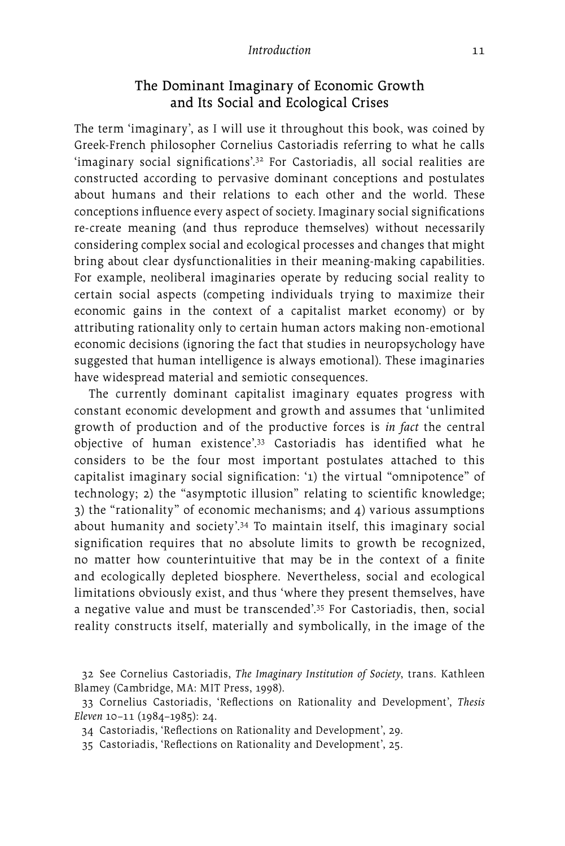### The Dominant Imaginary of Economic Growth and Its Social and Ecological Crises

The term 'imaginary', as I will use it throughout this book, was coined by Greek-French philosopher Cornelius Castoriadis referring to what he calls 'imaginary social significations'.32 For Castoriadis, all social realities are constructed according to pervasive dominant conceptions and postulates about humans and their relations to each other and the world. These conceptions influence every aspect of society. Imaginary social significations re-create meaning (and thus reproduce themselves) without necessarily considering complex social and ecological processes and changes that might bring about clear dysfunctionalities in their meaning-making capabilities. For example, neoliberal imaginaries operate by reducing social reality to certain social aspects (competing individuals trying to maximize their economic gains in the context of a capitalist market economy) or by attributing rationality only to certain human actors making non-emotional economic decisions (ignoring the fact that studies in neuropsychology have suggested that human intelligence is always emotional). These imaginaries have widespread material and semiotic consequences.

The currently dominant capitalist imaginary equates progress with constant economic development and growth and assumes that 'unlimited growth of production and of the productive forces is *in fact* the central objective of human existence'.33 Castoriadis has identified what he considers to be the four most important postulates attached to this capitalist imaginary social signification: '1) the virtual "omnipotence" of technology; 2) the "asymptotic illusion" relating to scientific knowledge; 3) the "rationality" of economic mechanisms; and 4) various assumptions about humanity and society'.34 To maintain itself, this imaginary social signification requires that no absolute limits to growth be recognized, no matter how counterintuitive that may be in the context of a finite and ecologically depleted biosphere. Nevertheless, social and ecological limitations obviously exist, and thus 'where they present themselves, have a negative value and must be transcended'.35 For Castoriadis, then, social reality constructs itself, materially and symbolically, in the image of the

<sup>32</sup> See Cornelius Castoriadis, *The Imaginary Institution of Society*, trans. Kathleen Blamey (Cambridge, MA: MIT Press, 1998).

<sup>33</sup> Cornelius Castoriadis, 'Reflections on Rationality and Development', *Thesis Eleven* 10–11 (1984–1985): 24.

<sup>34</sup> Castoriadis, 'Reflections on Rationality and Development', 29.

<sup>35</sup> Castoriadis, 'Reflections on Rationality and Development', 25.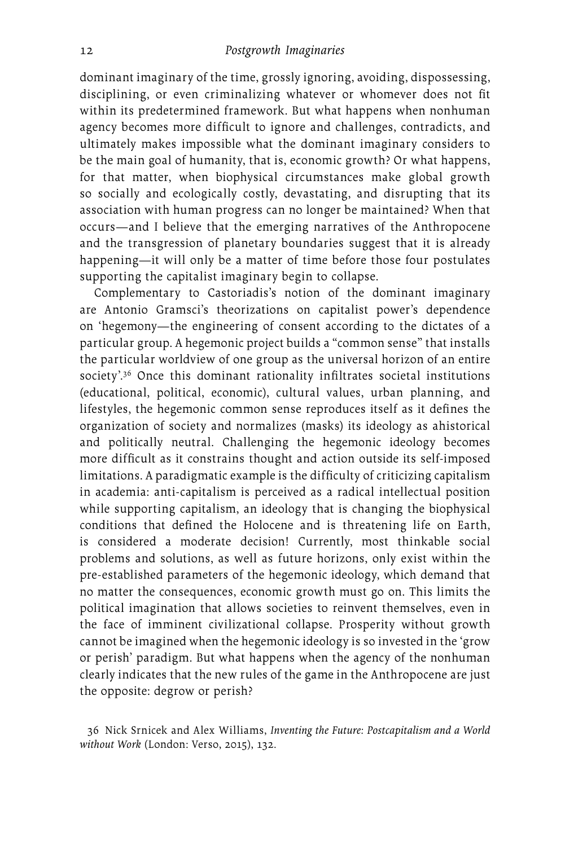dominant imaginary of the time, grossly ignoring, avoiding, dispossessing, disciplining, or even criminalizing whatever or whomever does not fit within its predetermined framework. But what happens when nonhuman agency becomes more difficult to ignore and challenges, contradicts, and ultimately makes impossible what the dominant imaginary considers to be the main goal of humanity, that is, economic growth? Or what happens, for that matter, when biophysical circumstances make global growth so socially and ecologically costly, devastating, and disrupting that its association with human progress can no longer be maintained? When that occurs—and I believe that the emerging narratives of the Anthropocene and the transgression of planetary boundaries suggest that it is already happening—it will only be a matter of time before those four postulates supporting the capitalist imaginary begin to collapse.

Complementary to Castoriadis's notion of the dominant imaginary are Antonio Gramsci's theorizations on capitalist power's dependence on 'hegemony—the engineering of consent according to the dictates of a particular group. A hegemonic project builds a "common sense" that installs the particular worldview of one group as the universal horizon of an entire society'.<sup>36</sup> Once this dominant rationality infiltrates societal institutions (educational, political, economic), cultural values, urban planning, and lifestyles, the hegemonic common sense reproduces itself as it defines the organization of society and normalizes (masks) its ideology as ahistorical and politically neutral. Challenging the hegemonic ideology becomes more difficult as it constrains thought and action outside its self-imposed limitations. A paradigmatic example is the difficulty of criticizing capitalism in academia: anti-capitalism is perceived as a radical intellectual position while supporting capitalism, an ideology that is changing the biophysical conditions that defined the Holocene and is threatening life on Earth, is considered a moderate decision! Currently, most thinkable social problems and solutions, as well as future horizons, only exist within the pre-established parameters of the hegemonic ideology, which demand that no matter the consequences, economic growth must go on. This limits the political imagination that allows societies to reinvent themselves, even in the face of imminent civilizational collapse. Prosperity without growth cannot be imagined when the hegemonic ideology is so invested in the 'grow or perish' paradigm. But what happens when the agency of the nonhuman clearly indicates that the new rules of the game in the Anthropocene are just the opposite: degrow or perish?

<sup>36</sup> Nick Srnicek and Alex Williams, *Inventing the Future: Postcapitalism and a World without Work* (London: Verso, 2015), 132.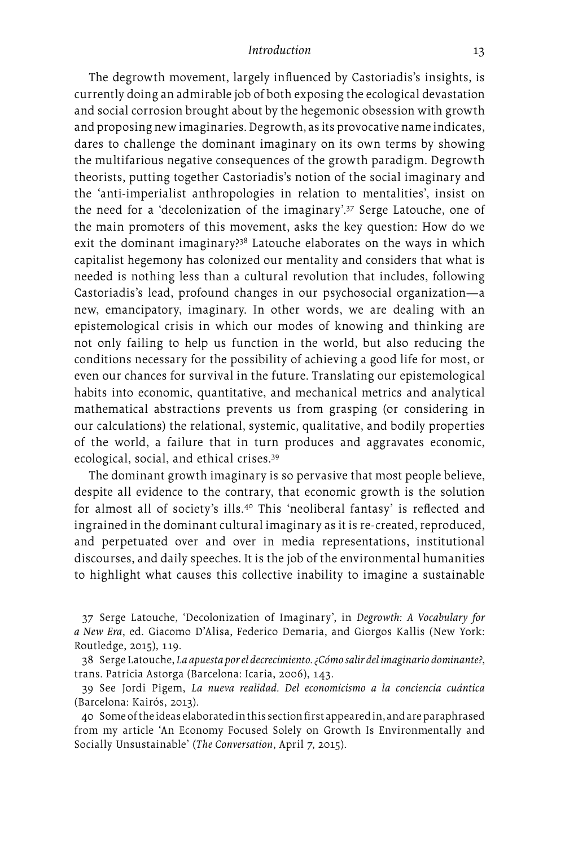The degrowth movement, largely influenced by Castoriadis's insights, is currently doing an admirable job of both exposing the ecological devastation and social corrosion brought about by the hegemonic obsession with growth and proposing new imaginaries. Degrowth, as its provocative name indicates, dares to challenge the dominant imaginary on its own terms by showing the multifarious negative consequences of the growth paradigm. Degrowth theorists, putting together Castoriadis's notion of the social imaginary and the 'anti-imperialist anthropologies in relation to mentalities', insist on the need for a 'decolonization of the imaginary'.37 Serge Latouche, one of the main promoters of this movement, asks the key question: How do we exit the dominant imaginary?<sup>38</sup> Latouche elaborates on the ways in which capitalist hegemony has colonized our mentality and considers that what is needed is nothing less than a cultural revolution that includes, following Castoriadis's lead, profound changes in our psychosocial organization—a new, emancipatory, imaginary. In other words, we are dealing with an epistemological crisis in which our modes of knowing and thinking are not only failing to help us function in the world, but also reducing the conditions necessary for the possibility of achieving a good life for most, or even our chances for survival in the future. Translating our epistemological habits into economic, quantitative, and mechanical metrics and analytical mathematical abstractions prevents us from grasping (or considering in our calculations) the relational, systemic, qualitative, and bodily properties of the world, a failure that in turn produces and aggravates economic, ecological, social, and ethical crises.39

The dominant growth imaginary is so pervasive that most people believe, despite all evidence to the contrary, that economic growth is the solution for almost all of society's ills.<sup>40</sup> This 'neoliberal fantasy' is reflected and ingrained in the dominant cultural imaginary as it is re-created, reproduced, and perpetuated over and over in media representations, institutional discourses, and daily speeches. It is the job of the environmental humanities to highlight what causes this collective inability to imagine a sustainable

37 Serge Latouche, 'Decolonization of Imaginary', in *Degrowth: A Vocabulary for a New Era*, ed. Giacomo D'Alisa, Federico Demaria, and Giorgos Kallis (New York: Routledge, 2015), 119.

38 Serge Latouche, *La apuesta por el decrecimiento. ¿Cómo salir del imaginario dominante?*, trans. Patricia Astorga (Barcelona: Icaria, 2006), 143.

39 See Jordi Pigem, *La nueva realidad. Del economicismo a la conciencia cuántica* (Barcelona: Kairós, 2013).

40 Some of the ideas elaborated in this section first appeared in, and are paraphrased from my article 'An Economy Focused Solely on Growth Is Environmentally and Socially Unsustainable' (*The Conversation*, April 7, 2015).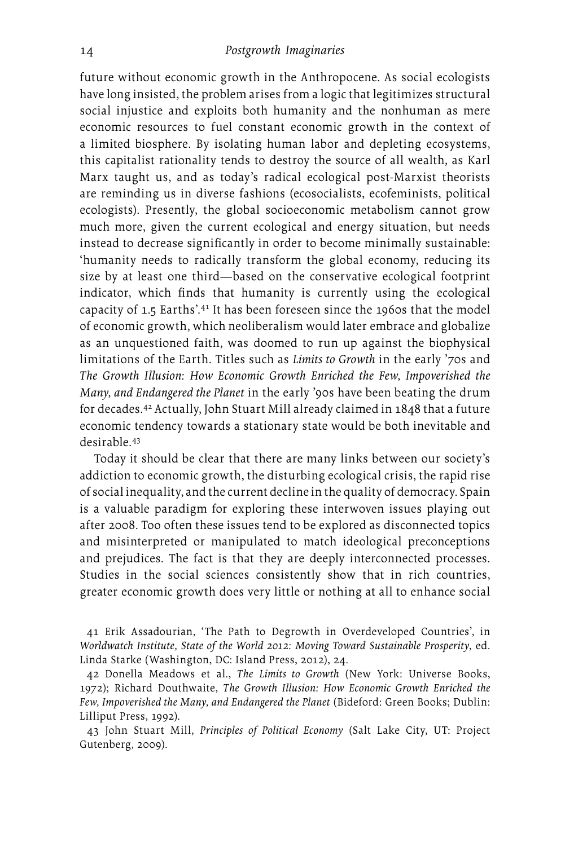future without economic growth in the Anthropocene. As social ecologists have long insisted, the problem arises from a logic that legitimizes structural social injustice and exploits both humanity and the nonhuman as mere economic resources to fuel constant economic growth in the context of a limited biosphere. By isolating human labor and depleting ecosystems, this capitalist rationality tends to destroy the source of all wealth, as Karl Marx taught us, and as today's radical ecological post-Marxist theorists are reminding us in diverse fashions (ecosocialists, ecofeminists, political ecologists). Presently, the global socioeconomic metabolism cannot grow much more, given the current ecological and energy situation, but needs instead to decrease significantly in order to become minimally sustainable: 'humanity needs to radically transform the global economy, reducing its size by at least one third—based on the conservative ecological footprint indicator, which finds that humanity is currently using the ecological capacity of 1.5 Earths'.<sup>41</sup> It has been foreseen since the 1960s that the model of economic growth, which neoliberalism would later embrace and globalize as an unquestioned faith, was doomed to run up against the biophysical limitations of the Earth. Titles such as *Limits to Growth* in the early '70s and *The Growth Illusion: How Economic Growth Enriched the Few, Impoverished the Many, and Endangered the Planet* in the early '90s have been beating the drum for decades.42 Actually, John Stuart Mill already claimed in 1848 that a future economic tendency towards a stationary state would be both inevitable and desirable.43

Today it should be clear that there are many links between our society's addiction to economic growth, the disturbing ecological crisis, the rapid rise of social inequality, and the current decline in the quality of democracy. Spain is a valuable paradigm for exploring these interwoven issues playing out after 2008. Too often these issues tend to be explored as disconnected topics and misinterpreted or manipulated to match ideological preconceptions and prejudices. The fact is that they are deeply interconnected processes. Studies in the social sciences consistently show that in rich countries, greater economic growth does very little or nothing at all to enhance social

41 Erik Assadourian, 'The Path to Degrowth in Overdeveloped Countries', in *Worldwatch Institute, State of the World 2012: Moving Toward Sustainable Prosperity*, ed. Linda Starke (Washington, DC: Island Press, 2012), 24.

42 Donella Meadows et al., *The Limits to Growth* (New York: Universe Books, 1972); Richard Douthwaite, *The Growth Illusion: How Economic Growth Enriched the Few, Impoverished the Many, and Endangered the Planet* (Bideford: Green Books; Dublin: Lilliput Press, 1992).

43 John Stuart Mill, *Principles of Political Economy* (Salt Lake City, UT: Project Gutenberg, 2009).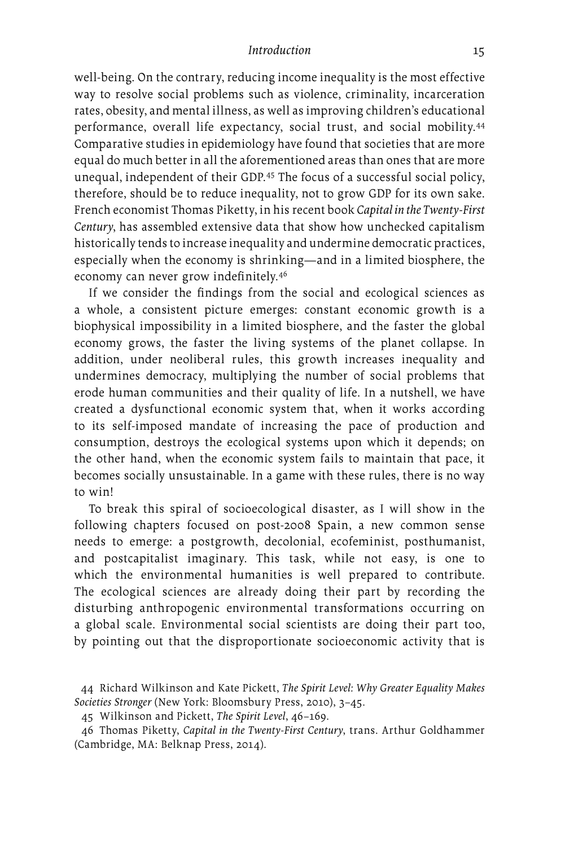well-being. On the contrary, reducing income inequality is the most effective way to resolve social problems such as violence, criminality, incarceration rates, obesity, and mental illness, as well as improving children's educational performance, overall life expectancy, social trust, and social mobility.44 Comparative studies in epidemiology have found that societies that are more equal do much better in all the aforementioned areas than ones that are more unequal, independent of their GDP.45 The focus of a successful social policy, therefore, should be to reduce inequality, not to grow GDP for its own sake. French economist Thomas Piketty, in his recent book *Capital in the Twenty-First Century*, has assembled extensive data that show how unchecked capitalism historically tends to increase inequality and undermine democratic practices, especially when the economy is shrinking—and in a limited biosphere, the economy can never grow indefinitely.46

If we consider the findings from the social and ecological sciences as a whole, a consistent picture emerges: constant economic growth is a biophysical impossibility in a limited biosphere, and the faster the global economy grows, the faster the living systems of the planet collapse. In addition, under neoliberal rules, this growth increases inequality and undermines democracy, multiplying the number of social problems that erode human communities and their quality of life. In a nutshell, we have created a dysfunctional economic system that, when it works according to its self-imposed mandate of increasing the pace of production and consumption, destroys the ecological systems upon which it depends; on the other hand, when the economic system fails to maintain that pace, it becomes socially unsustainable. In a game with these rules, there is no way to win!

To break this spiral of socioecological disaster, as I will show in the following chapters focused on post-2008 Spain, a new common sense needs to emerge: a postgrowth, decolonial, ecofeminist, posthumanist, and postcapitalist imaginary. This task, while not easy, is one to which the environmental humanities is well prepared to contribute. The ecological sciences are already doing their part by recording the disturbing anthropogenic environmental transformations occurring on a global scale. Environmental social scientists are doing their part too, by pointing out that the disproportionate socioeconomic activity that is

<sup>44</sup> Richard Wilkinson and Kate Pickett, *The Spirit Level: Why Greater Equality Makes Societies Stronger* (New York: Bloomsbury Press, 2010), 3–45.

<sup>45</sup> Wilkinson and Pickett, *The Spirit Level*, 46–169.

<sup>46</sup> Thomas Piketty, *Capital in the Twenty-First Century*, trans. Arthur Goldhammer (Cambridge, MA: Belknap Press, 2014).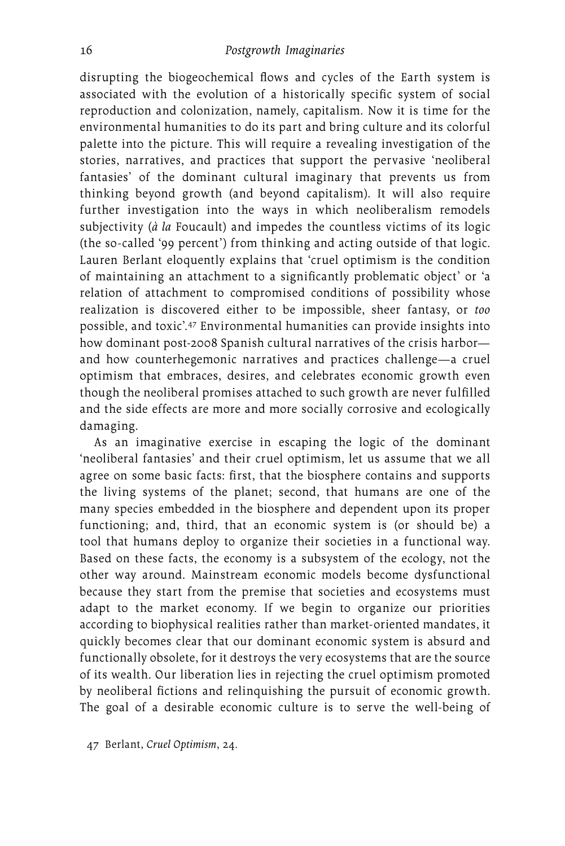disrupting the biogeochemical flows and cycles of the Earth system is associated with the evolution of a historically specific system of social reproduction and colonization, namely, capitalism. Now it is time for the environmental humanities to do its part and bring culture and its colorful palette into the picture. This will require a revealing investigation of the stories, narratives, and practices that support the pervasive 'neoliberal fantasies' of the dominant cultural imaginary that prevents us from thinking beyond growth (and beyond capitalism). It will also require further investigation into the ways in which neoliberalism remodels subjectivity (*à la* Foucault) and impedes the countless victims of its logic (the so-called '99 percent') from thinking and acting outside of that logic. Lauren Berlant eloquently explains that 'cruel optimism is the condition of maintaining an attachment to a significantly problematic object' or 'a relation of attachment to compromised conditions of possibility whose realization is discovered either to be impossible, sheer fantasy, or *too* possible, and toxic'.47 Environmental humanities can provide insights into how dominant post-2008 Spanish cultural narratives of the crisis harbor and how counterhegemonic narratives and practices challenge—a cruel optimism that embraces, desires, and celebrates economic growth even though the neoliberal promises attached to such growth are never fulfilled and the side effects are more and more socially corrosive and ecologically damaging.

As an imaginative exercise in escaping the logic of the dominant 'neoliberal fantasies' and their cruel optimism, let us assume that we all agree on some basic facts: first, that the biosphere contains and supports the living systems of the planet; second, that humans are one of the many species embedded in the biosphere and dependent upon its proper functioning; and, third, that an economic system is (or should be) a tool that humans deploy to organize their societies in a functional way. Based on these facts, the economy is a subsystem of the ecology, not the other way around. Mainstream economic models become dysfunctional because they start from the premise that societies and ecosystems must adapt to the market economy. If we begin to organize our priorities according to biophysical realities rather than market-oriented mandates, it quickly becomes clear that our dominant economic system is absurd and functionally obsolete, for it destroys the very ecosystems that are the source of its wealth. Our liberation lies in rejecting the cruel optimism promoted by neoliberal fictions and relinquishing the pursuit of economic growth. The goal of a desirable economic culture is to serve the well-being of

47 Berlant, *Cruel Optimism*, 24.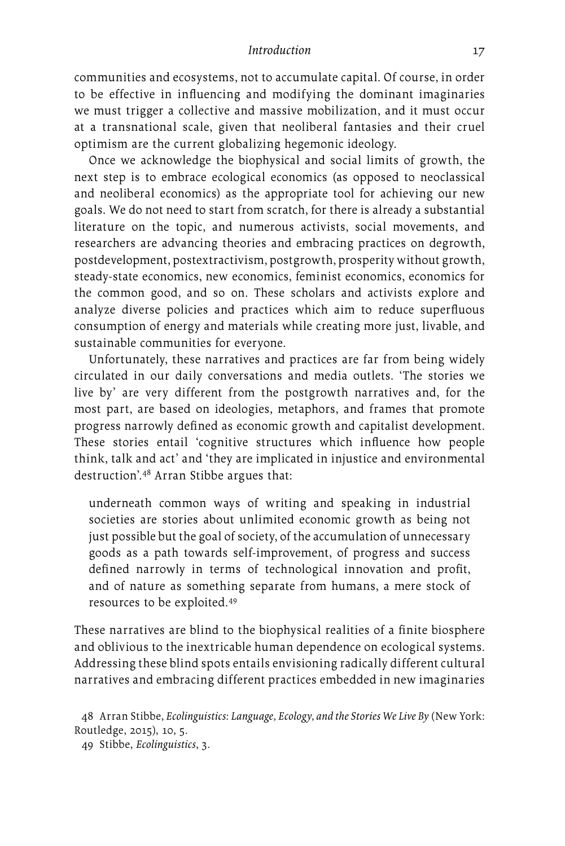communities and ecosystems, not to accumulate capital. Of course, in order to be effective in influencing and modifying the dominant imaginaries we must trigger a collective and massive mobilization, and it must occur at a transnational scale, given that neoliberal fantasies and their cruel optimism are the current globalizing hegemonic ideology.

Once we acknowledge the biophysical and social limits of growth, the next step is to embrace ecological economics (as opposed to neoclassical and neoliberal economics) as the appropriate tool for achieving our new goals. We do not need to start from scratch, for there is already a substantial literature on the topic, and numerous activists, social movements, and researchers are advancing theories and embracing practices on degrowth, postdevelopment, postextractivism, postgrowth, prosperity without growth, steady-state economics, new economics, feminist economics, economics for the common good, and so on. These scholars and activists explore and analyze diverse policies and practices which aim to reduce superfluous consumption of energy and materials while creating more just, livable, and sustainable communities for everyone.

Unfortunately, these narratives and practices are far from being widely circulated in our daily conversations and media outlets. 'The stories we live by' are very different from the postgrowth narratives and, for the most part, are based on ideologies, metaphors, and frames that promote progress narrowly defined as economic growth and capitalist development. These stories entail 'cognitive structures which influence how people think, talk and act' and 'they are implicated in injustice and environmental destruction'.48 Arran Stibbe argues that:

underneath common ways of writing and speaking in industrial societies are stories about unlimited economic growth as being not just possible but the goal of society, of the accumulation of unnecessary goods as a path towards self-improvement, of progress and success defined narrowly in terms of technological innovation and profit, and of nature as something separate from humans, a mere stock of resources to be exploited.49

These narratives are blind to the biophysical realities of a finite biosphere and oblivious to the inextricable human dependence on ecological systems. Addressing these blind spots entails envisioning radically different cultural narratives and embracing different practices embedded in new imaginaries

<sup>48</sup> Arran Stibbe, *Ecolinguistics: Language, Ecology, and the Stories We Live By* (New York: Routledge, 2015), 10, 5.

<sup>49</sup> Stibbe, *Ecolinguistics*, 3.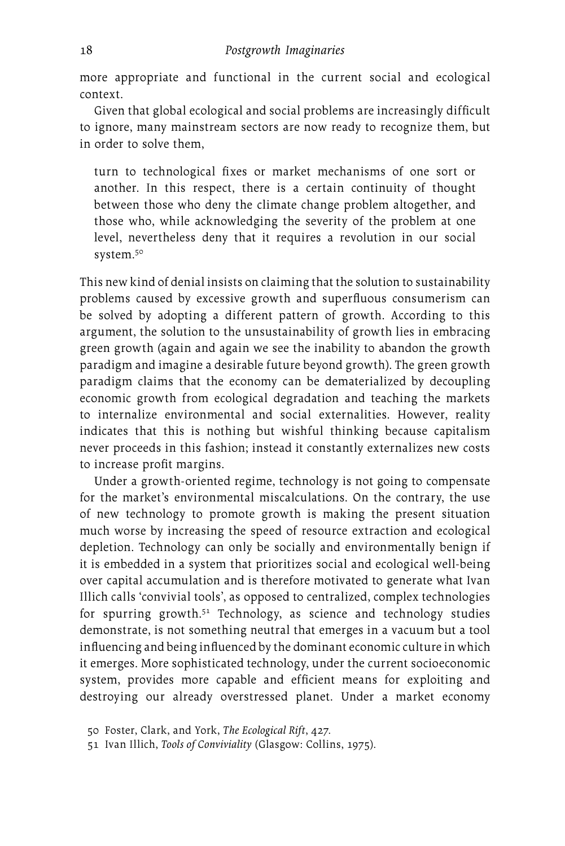more appropriate and functional in the current social and ecological context.

Given that global ecological and social problems are increasingly difficult to ignore, many mainstream sectors are now ready to recognize them, but in order to solve them,

turn to technological fixes or market mechanisms of one sort or another. In this respect, there is a certain continuity of thought between those who deny the climate change problem altogether, and those who, while acknowledging the severity of the problem at one level, nevertheless deny that it requires a revolution in our social system.50

This new kind of denial insists on claiming that the solution to sustainability problems caused by excessive growth and superfluous consumerism can be solved by adopting a different pattern of growth. According to this argument, the solution to the unsustainability of growth lies in embracing green growth (again and again we see the inability to abandon the growth paradigm and imagine a desirable future beyond growth). The green growth paradigm claims that the economy can be dematerialized by decoupling economic growth from ecological degradation and teaching the markets to internalize environmental and social externalities. However, reality indicates that this is nothing but wishful thinking because capitalism never proceeds in this fashion; instead it constantly externalizes new costs to increase profit margins.

Under a growth-oriented regime, technology is not going to compensate for the market's environmental miscalculations. On the contrary, the use of new technology to promote growth is making the present situation much worse by increasing the speed of resource extraction and ecological depletion. Technology can only be socially and environmentally benign if it is embedded in a system that prioritizes social and ecological well-being over capital accumulation and is therefore motivated to generate what Ivan Illich calls 'convivial tools', as opposed to centralized, complex technologies for spurring growth. $51$  Technology, as science and technology studies demonstrate, is not something neutral that emerges in a vacuum but a tool influencing and being influenced by the dominant economic culture in which it emerges. More sophisticated technology, under the current socioeconomic system, provides more capable and efficient means for exploiting and destroying our already overstressed planet. Under a market economy

<sup>50</sup> Foster, Clark, and York, *The Ecological Rift*, 427.

<sup>51</sup> Ivan Illich, *Tools of Conviviality* (Glasgow: Collins, 1975).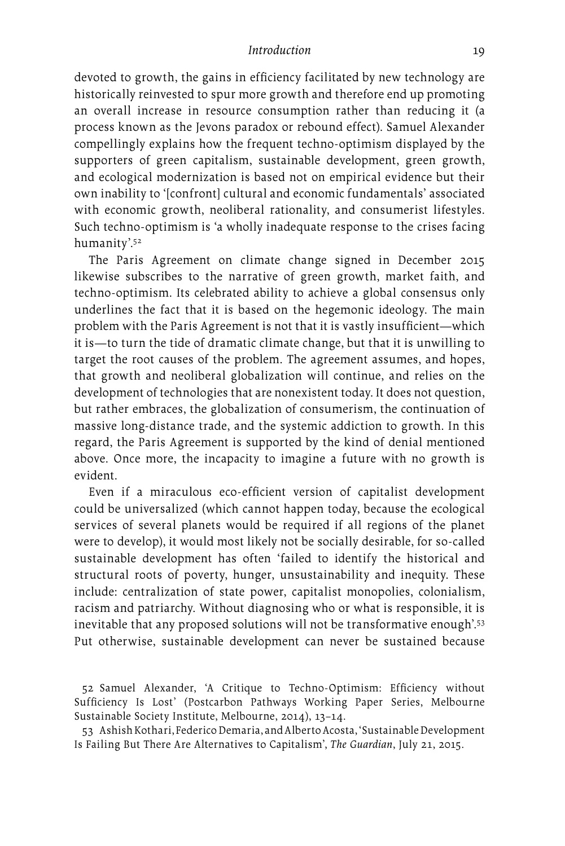devoted to growth, the gains in efficiency facilitated by new technology are historically reinvested to spur more growth and therefore end up promoting an overall increase in resource consumption rather than reducing it (a process known as the Jevons paradox or rebound effect). Samuel Alexander compellingly explains how the frequent techno-optimism displayed by the supporters of green capitalism, sustainable development, green growth, and ecological modernization is based not on empirical evidence but their own inability to '[confront] cultural and economic fundamentals' associated with economic growth, neoliberal rationality, and consumerist lifestyles. Such techno-optimism is 'a wholly inadequate response to the crises facing humanity'.52

The Paris Agreement on climate change signed in December 2015 likewise subscribes to the narrative of green growth, market faith, and techno-optimism. Its celebrated ability to achieve a global consensus only underlines the fact that it is based on the hegemonic ideology. The main problem with the Paris Agreement is not that it is vastly insufficient—which it is—to turn the tide of dramatic climate change, but that it is unwilling to target the root causes of the problem. The agreement assumes, and hopes, that growth and neoliberal globalization will continue, and relies on the development of technologies that are nonexistent today. It does not question, but rather embraces, the globalization of consumerism, the continuation of massive long-distance trade, and the systemic addiction to growth. In this regard, the Paris Agreement is supported by the kind of denial mentioned above. Once more, the incapacity to imagine a future with no growth is evident.

Even if a miraculous eco-efficient version of capitalist development could be universalized (which cannot happen today, because the ecological services of several planets would be required if all regions of the planet were to develop), it would most likely not be socially desirable, for so-called sustainable development has often 'failed to identify the historical and structural roots of poverty, hunger, unsustainability and inequity. These include: centralization of state power, capitalist monopolies, colonialism, racism and patriarchy. Without diagnosing who or what is responsible, it is inevitable that any proposed solutions will not be transformative enough'.<sup>53</sup> Put otherwise, sustainable development can never be sustained because

52 Samuel Alexander, 'A Critique to Techno-Optimism: Efficiency without Sufficiency Is Lost' (Postcarbon Pathways Working Paper Series, Melbourne Sustainable Society Institute, Melbourne, 2014), 13–14.

53 Ashish Kothari, Federico Demaria, and Alberto Acosta, 'Sustainable Development Is Failing But There Are Alternatives to Capitalism', *The Guardian*, July 21, 2015.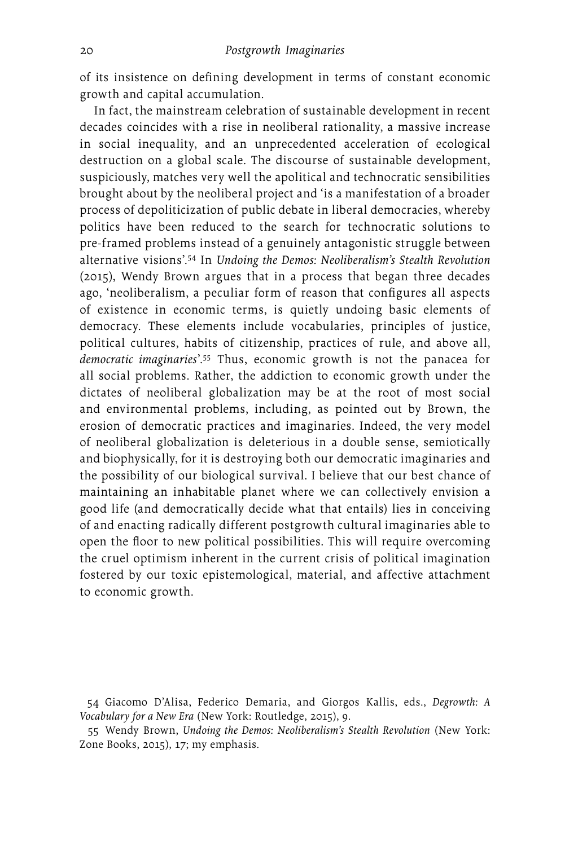of its insistence on defining development in terms of constant economic growth and capital accumulation.

In fact, the mainstream celebration of sustainable development in recent decades coincides with a rise in neoliberal rationality, a massive increase in social inequality, and an unprecedented acceleration of ecological destruction on a global scale. The discourse of sustainable development, suspiciously, matches very well the apolitical and technocratic sensibilities brought about by the neoliberal project and 'is a manifestation of a broader process of depoliticization of public debate in liberal democracies, whereby politics have been reduced to the search for technocratic solutions to pre-framed problems instead of a genuinely antagonistic struggle between alternative visions'.54 In *Undoing the Demos: Neoliberalism's Stealth Revolution* (2015), Wendy Brown argues that in a process that began three decades ago, 'neoliberalism, a peculiar form of reason that configures all aspects of existence in economic terms, is quietly undoing basic elements of democracy. These elements include vocabularies, principles of justice, political cultures, habits of citizenship, practices of rule, and above all, *democratic imaginaries*'.55 Thus, economic growth is not the panacea for all social problems. Rather, the addiction to economic growth under the dictates of neoliberal globalization may be at the root of most social and environmental problems, including, as pointed out by Brown, the erosion of democratic practices and imaginaries. Indeed, the very model of neoliberal globalization is deleterious in a double sense, semiotically and biophysically, for it is destroying both our democratic imaginaries and the possibility of our biological survival. I believe that our best chance of maintaining an inhabitable planet where we can collectively envision a good life (and democratically decide what that entails) lies in conceiving of and enacting radically different postgrowth cultural imaginaries able to open the floor to new political possibilities. This will require overcoming the cruel optimism inherent in the current crisis of political imagination fostered by our toxic epistemological, material, and affective attachment to economic growth.

55 Wendy Brown, *Undoing the Demos: Neoliberalism's Stealth Revolution* (New York: Zone Books, 2015), 17; my emphasis.

<sup>54</sup> Giacomo D'Alisa, Federico Demaria, and Giorgos Kallis, eds., *Degrowth: A Vocabulary for a New Era* (New York: Routledge, 2015), 9.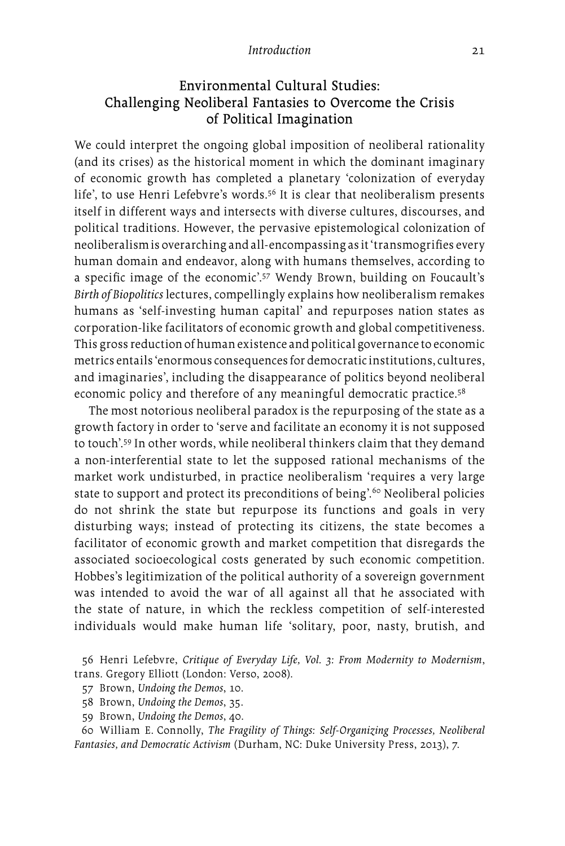## Environmental Cultural Studies: Challenging Neoliberal Fantasies to Overcome the Crisis of Political Imagination

We could interpret the ongoing global imposition of neoliberal rationality (and its crises) as the historical moment in which the dominant imaginary of economic growth has completed a planetary 'colonization of everyday life', to use Henri Lefebvre's words.<sup>56</sup> It is clear that neoliberalism presents itself in different ways and intersects with diverse cultures, discourses, and political traditions. However, the pervasive epistemological colonization of neoliberalism is overarching and all-encompassing as it 'transmogrifies every human domain and endeavor, along with humans themselves, according to a specific image of the economic'.57 Wendy Brown, building on Foucault's *Birth of Biopolitics* lectures, compellingly explains how neoliberalism remakes humans as 'self-investing human capital' and repurposes nation states as corporation-like facilitators of economic growth and global competitiveness. This gross reduction of human existence and political governance to economic metrics entails 'enormous consequences for democratic institutions, cultures, and imaginaries', including the disappearance of politics beyond neoliberal economic policy and therefore of any meaningful democratic practice.<sup>58</sup>

The most notorious neoliberal paradox is the repurposing of the state as a growth factory in order to 'serve and facilitate an economy it is not supposed to touch'.59 In other words, while neoliberal thinkers claim that they demand a non-interferential state to let the supposed rational mechanisms of the market work undisturbed, in practice neoliberalism 'requires a very large state to support and protect its preconditions of being'.<sup>60</sup> Neoliberal policies do not shrink the state but repurpose its functions and goals in very disturbing ways; instead of protecting its citizens, the state becomes a facilitator of economic growth and market competition that disregards the associated socioecological costs generated by such economic competition. Hobbes's legitimization of the political authority of a sovereign government was intended to avoid the war of all against all that he associated with the state of nature, in which the reckless competition of self-interested individuals would make human life 'solitary, poor, nasty, brutish, and

56 Henri Lefebvre, *Critique of Everyday Life, Vol. 3: From Modernity to Modernism*, trans. Gregory Elliott (London: Verso, 2008).

60 William E. Connolly, *The Fragility of Things: Self-Organizing Processes, Neoliberal Fantasies, and Democratic Activism* (Durham, NC: Duke University Press, 2013), 7.

<sup>57</sup> Brown, *Undoing the Demos*, 10.

<sup>58</sup> Brown, *Undoing the Demos*, 35.

<sup>59</sup> Brown, *Undoing the Demos*, 40.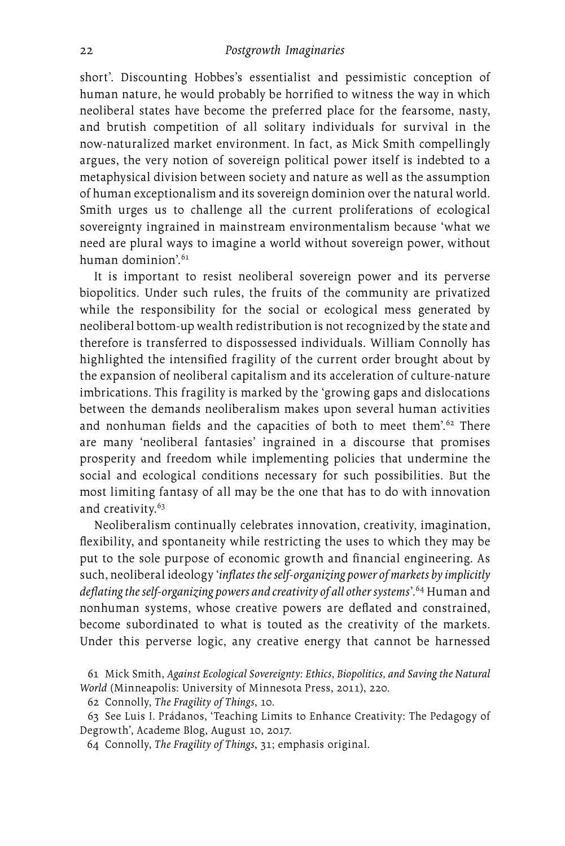short'. Discounting Hobbes's essentialist and pessimistic conception of human nature, he would probably be horrified to witness the way in which neoliberal states have become the preferred place for the fearsome, nasty, and brutish competition of all solitary individuals for survival in the now-naturalized market environment. In fact, as Mick Smith compellingly argues, the very notion of sovereign political power itself is indebted to a metaphysical division between society and nature as well as the assumption of human exceptionalism and its sovereign dominion over the natural world. Smith urges us to challenge all the current proliferations of ecological sovereignty ingrained in mainstream environmentalism because 'what we need are plural ways to imagine a world without sovereign power, without human dominion'.<sup>61</sup>

It is important to resist neoliberal sovereign power and its perverse biopolitics. Under such rules, the fruits of the community are privatized while the responsibility for the social or ecological mess generated by neoliberal bottom-up wealth redistribution is not recognized by the state and therefore is transferred to dispossessed individuals. William Connolly has highlighted the intensified fragility of the current order brought about by the expansion of neoliberal capitalism and its acceleration of culture-nature imbrications. This fragility is marked by the 'growing gaps and dislocations between the demands neoliberalism makes upon several human activities and nonhuman fields and the capacities of both to meet them'.<sup>62</sup> There are many 'neoliberal fantasies' ingrained in a discourse that promises prosperity and freedom while implementing policies that undermine the social and ecological conditions necessary for such possibilities. But the most limiting fantasy of all may be the one that has to do with innovation and creativity.<sup>63</sup>

Neoliberalism continually celebrates innovation, creativity, imagination, flexibility, and spontaneity while restricting the uses to which they may be put to the sole purpose of economic growth and financial engineering. As such, neoliberal ideology '*inflates the self-organizing power of markets by implicitly deflating the self-organizing powers and creativity of all other systems*'.64 Human and nonhuman systems, whose creative powers are deflated and constrained, become subordinated to what is touted as the creativity of the markets. Under this perverse logic, any creative energy that cannot be harnessed

62 Connolly, *The Fragility of Things*, 10.

63 See Luis I. Prádanos, 'Teaching Limits to Enhance Creativity: The Pedagogy of Degrowth', Academe Blog, August 10, 2017.

64 Connolly, *The Fragility of Things*, 31; emphasis original.

<sup>61</sup> Mick Smith, *Against Ecological Sovereignty: Ethics, Biopolitics, and Saving the Natural World* (Minneapolis: University of Minnesota Press, 2011), 220.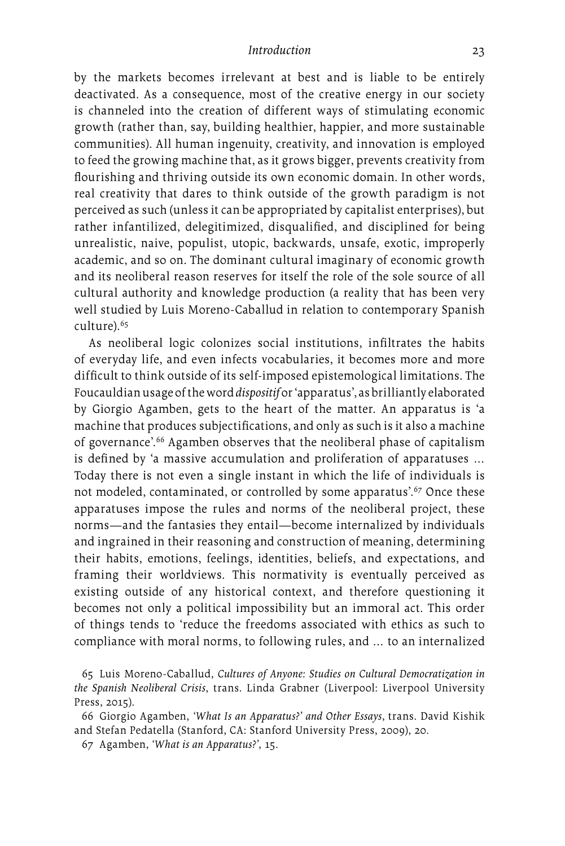by the markets becomes irrelevant at best and is liable to be entirely deactivated. As a consequence, most of the creative energy in our society is channeled into the creation of different ways of stimulating economic growth (rather than, say, building healthier, happier, and more sustainable communities). All human ingenuity, creativity, and innovation is employed to feed the growing machine that, as it grows bigger, prevents creativity from flourishing and thriving outside its own economic domain. In other words, real creativity that dares to think outside of the growth paradigm is not perceived as such (unless it can be appropriated by capitalist enterprises), but rather infantilized, delegitimized, disqualified, and disciplined for being unrealistic, naive, populist, utopic, backwards, unsafe, exotic, improperly academic, and so on. The dominant cultural imaginary of economic growth and its neoliberal reason reserves for itself the role of the sole source of all cultural authority and knowledge production (a reality that has been very well studied by Luis Moreno-Caballud in relation to contemporary Spanish culture).<sup>65</sup>

As neoliberal logic colonizes social institutions, infiltrates the habits of everyday life, and even infects vocabularies, it becomes more and more difficult to think outside of its self-imposed epistemological limitations. The Foucauldian usage of the word *dispositif* or 'apparatus', as brilliantly elaborated by Giorgio Agamben, gets to the heart of the matter. An apparatus is 'a machine that produces subjectifications, and only as such is it also a machine of governance'.66 Agamben observes that the neoliberal phase of capitalism is defined by 'a massive accumulation and proliferation of apparatuses … Today there is not even a single instant in which the life of individuals is not modeled, contaminated, or controlled by some apparatus'.<sup>67</sup> Once these apparatuses impose the rules and norms of the neoliberal project, these norms—and the fantasies they entail—become internalized by individuals and ingrained in their reasoning and construction of meaning, determining their habits, emotions, feelings, identities, beliefs, and expectations, and framing their worldviews. This normativity is eventually perceived as existing outside of any historical context, and therefore questioning it becomes not only a political impossibility but an immoral act. This order of things tends to 'reduce the freedoms associated with ethics as such to compliance with moral norms, to following rules, and … to an internalized

<sup>65</sup> Luis Moreno-Caballud, *Cultures of Anyone: Studies on Cultural Democratization in the Spanish Neoliberal Crisis*, trans. Linda Grabner (Liverpool: Liverpool University Press, 2015).

<sup>66</sup> Giorgio Agamben, *'What Is an Apparatus?' and Other Essays*, trans. David Kishik and Stefan Pedatella (Stanford, CA: Stanford University Press, 2009), 20.

<sup>67</sup> Agamben, *'What is an Apparatus?'*, 15.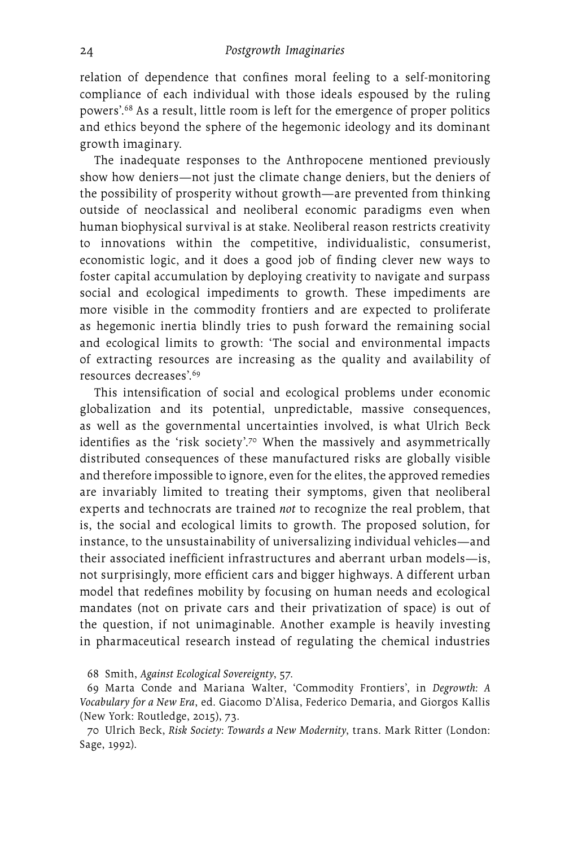relation of dependence that confines moral feeling to a self-monitoring compliance of each individual with those ideals espoused by the ruling powers'.68 As a result, little room is left for the emergence of proper politics and ethics beyond the sphere of the hegemonic ideology and its dominant growth imaginary.

The inadequate responses to the Anthropocene mentioned previously show how deniers—not just the climate change deniers, but the deniers of the possibility of prosperity without growth—are prevented from thinking outside of neoclassical and neoliberal economic paradigms even when human biophysical survival is at stake. Neoliberal reason restricts creativity to innovations within the competitive, individualistic, consumerist, economistic logic, and it does a good job of finding clever new ways to foster capital accumulation by deploying creativity to navigate and surpass social and ecological impediments to growth. These impediments are more visible in the commodity frontiers and are expected to proliferate as hegemonic inertia blindly tries to push forward the remaining social and ecological limits to growth: 'The social and environmental impacts of extracting resources are increasing as the quality and availability of resources decreases'.69

This intensification of social and ecological problems under economic globalization and its potential, unpredictable, massive consequences, as well as the governmental uncertainties involved, is what Ulrich Beck identifies as the 'risk society'.70 When the massively and asymmetrically distributed consequences of these manufactured risks are globally visible and therefore impossible to ignore, even for the elites, the approved remedies are invariably limited to treating their symptoms, given that neoliberal experts and technocrats are trained *not* to recognize the real problem, that is, the social and ecological limits to growth. The proposed solution, for instance, to the unsustainability of universalizing individual vehicles—and their associated inefficient infrastructures and aberrant urban models—is, not surprisingly, more efficient cars and bigger highways. A different urban model that redefines mobility by focusing on human needs and ecological mandates (not on private cars and their privatization of space) is out of the question, if not unimaginable. Another example is heavily investing in pharmaceutical research instead of regulating the chemical industries

68 Smith, *Against Ecological Sovereignty*, 57.

69 Marta Conde and Mariana Walter, 'Commodity Frontiers', in *Degrowth: A Vocabulary for a New Era*, ed. Giacomo D'Alisa, Federico Demaria, and Giorgos Kallis (New York: Routledge, 2015), 73.

70 Ulrich Beck, *Risk Society: Towards a New Modernity*, trans. Mark Ritter (London: Sage, 1992).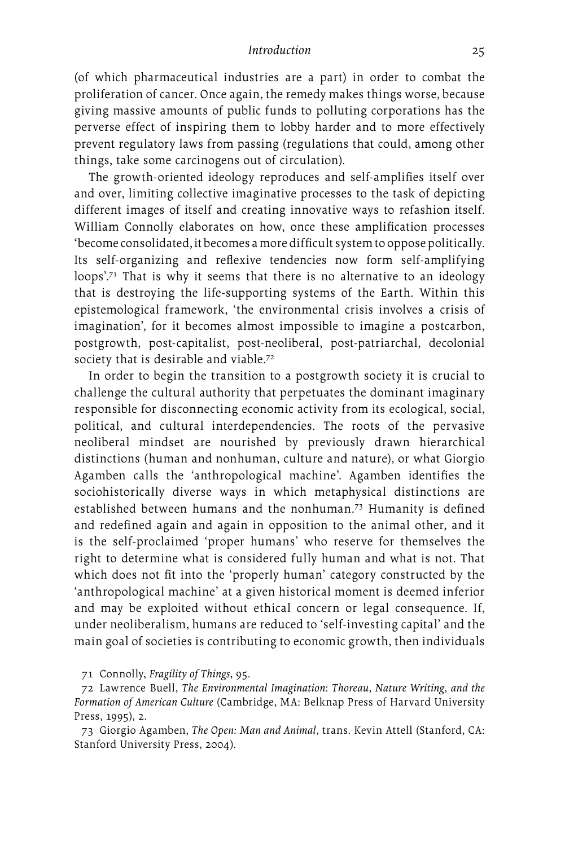(of which pharmaceutical industries are a part) in order to combat the proliferation of cancer. Once again, the remedy makes things worse, because giving massive amounts of public funds to polluting corporations has the perverse effect of inspiring them to lobby harder and to more effectively prevent regulatory laws from passing (regulations that could, among other things, take some carcinogens out of circulation).

The growth-oriented ideology reproduces and self-amplifies itself over and over, limiting collective imaginative processes to the task of depicting different images of itself and creating innovative ways to refashion itself. William Connolly elaborates on how, once these amplification processes 'become consolidated, it becomes a more difficult system to oppose politically. Its self-organizing and reflexive tendencies now form self-amplifying loops'.71 That is why it seems that there is no alternative to an ideology that is destroying the life-supporting systems of the Earth. Within this epistemological framework, 'the environmental crisis involves a crisis of imagination', for it becomes almost impossible to imagine a postcarbon, postgrowth, post-capitalist, post-neoliberal, post-patriarchal, decolonial society that is desirable and viable.<sup>72</sup>

In order to begin the transition to a postgrowth society it is crucial to challenge the cultural authority that perpetuates the dominant imaginary responsible for disconnecting economic activity from its ecological, social, political, and cultural interdependencies. The roots of the pervasive neoliberal mindset are nourished by previously drawn hierarchical distinctions (human and nonhuman, culture and nature), or what Giorgio Agamben calls the 'anthropological machine'. Agamben identifies the sociohistorically diverse ways in which metaphysical distinctions are established between humans and the nonhuman.73 Humanity is defined and redefined again and again in opposition to the animal other, and it is the self-proclaimed 'proper humans' who reserve for themselves the right to determine what is considered fully human and what is not. That which does not fit into the 'properly human' category constructed by the 'anthropological machine' at a given historical moment is deemed inferior and may be exploited without ethical concern or legal consequence. If, under neoliberalism, humans are reduced to 'self-investing capital' and the main goal of societies is contributing to economic growth, then individuals

71 Connolly, *Fragility of Things*, 95.

72 Lawrence Buell, *The Environmental Imagination: Thoreau, Nature Writing, and the Formation of American Culture* (Cambridge, MA: Belknap Press of Harvard University Press, 1995), 2.

73 Giorgio Agamben, *The Open: Man and Animal*, trans. Kevin Attell (Stanford, CA: Stanford University Press, 2004).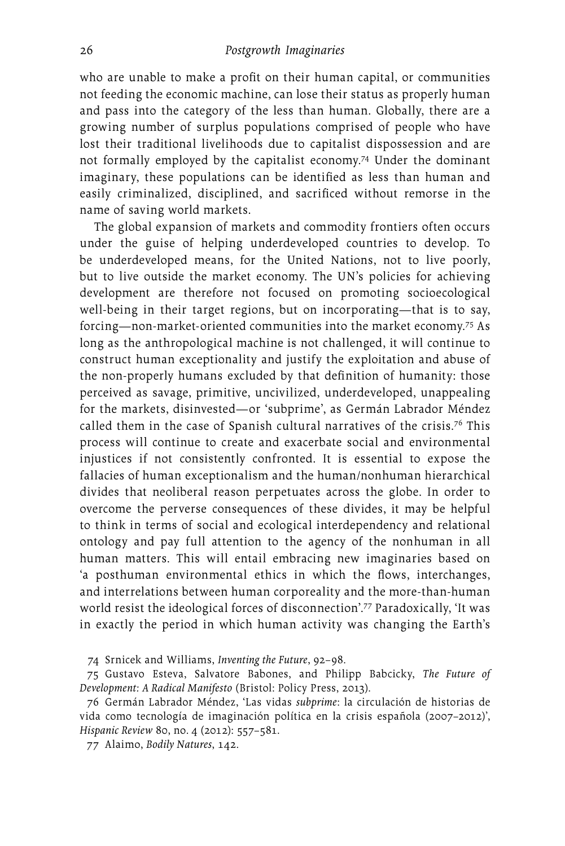who are unable to make a profit on their human capital, or communities not feeding the economic machine, can lose their status as properly human and pass into the category of the less than human. Globally, there are a growing number of surplus populations comprised of people who have lost their traditional livelihoods due to capitalist dispossession and are not formally employed by the capitalist economy.74 Under the dominant imaginary, these populations can be identified as less than human and easily criminalized, disciplined, and sacrificed without remorse in the name of saving world markets.

The global expansion of markets and commodity frontiers often occurs under the guise of helping underdeveloped countries to develop. To be underdeveloped means, for the United Nations, not to live poorly, but to live outside the market economy. The UN's policies for achieving development are therefore not focused on promoting socioecological well-being in their target regions, but on incorporating—that is to say, forcing—non-market-oriented communities into the market economy.75 As long as the anthropological machine is not challenged, it will continue to construct human exceptionality and justify the exploitation and abuse of the non-properly humans excluded by that definition of humanity: those perceived as savage, primitive, uncivilized, underdeveloped, unappealing for the markets, disinvested—or 'subprime', as Germán Labrador Méndez called them in the case of Spanish cultural narratives of the crisis.<sup>76</sup> This process will continue to create and exacerbate social and environmental injustices if not consistently confronted. It is essential to expose the fallacies of human exceptionalism and the human/nonhuman hierarchical divides that neoliberal reason perpetuates across the globe. In order to overcome the perverse consequences of these divides, it may be helpful to think in terms of social and ecological interdependency and relational ontology and pay full attention to the agency of the nonhuman in all human matters. This will entail embracing new imaginaries based on 'a posthuman environmental ethics in which the flows, interchanges, and interrelations between human corporeality and the more-than-human world resist the ideological forces of disconnection'.77 Paradoxically, 'It was in exactly the period in which human activity was changing the Earth's

74 Srnicek and Williams, *Inventing the Future*, 92–98.

75 Gustavo Esteva, Salvatore Babones, and Philipp Babcicky, *The Future of Development: A Radical Manifesto* (Bristol: Policy Press, 2013).

76 Germán Labrador Méndez, 'Las vidas *subprime*: la circulación de historias de vida como tecnología de imaginación política en la crisis española (2007–2012)', *Hispanic Review* 80, no. 4 (2012): 557–581.

77 Alaimo, *Bodily Natures*, 142.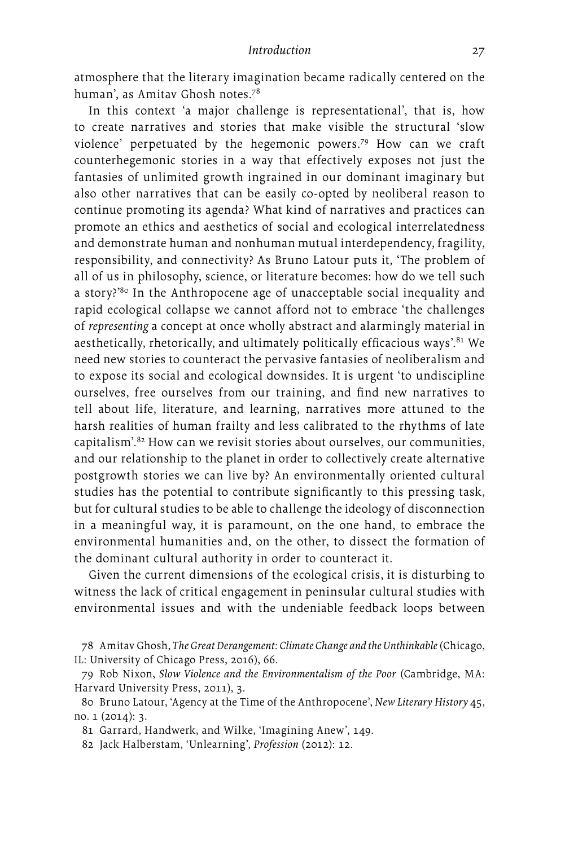atmosphere that the literary imagination became radically centered on the human', as Amitav Ghosh notes.78

In this context 'a major challenge is representational', that is, how to create narratives and stories that make visible the structural 'slow violence' perpetuated by the hegemonic powers.79 How can we craft counterhegemonic stories in a way that effectively exposes not just the fantasies of unlimited growth ingrained in our dominant imaginary but also other narratives that can be easily co-opted by neoliberal reason to continue promoting its agenda? What kind of narratives and practices can promote an ethics and aesthetics of social and ecological interrelatedness and demonstrate human and nonhuman mutual interdependency, fragility, responsibility, and connectivity? As Bruno Latour puts it, 'The problem of all of us in philosophy, science, or literature becomes: how do we tell such a story?'80 In the Anthropocene age of unacceptable social inequality and rapid ecological collapse we cannot afford not to embrace 'the challenges of *representing* a concept at once wholly abstract and alarmingly material in aesthetically, rhetorically, and ultimately politically efficacious ways'.<sup>81</sup> We need new stories to counteract the pervasive fantasies of neoliberalism and to expose its social and ecological downsides. It is urgent 'to undiscipline ourselves, free ourselves from our training, and find new narratives to tell about life, literature, and learning, narratives more attuned to the harsh realities of human frailty and less calibrated to the rhythms of late capitalism'.82 How can we revisit stories about ourselves, our communities, and our relationship to the planet in order to collectively create alternative postgrowth stories we can live by? An environmentally oriented cultural studies has the potential to contribute significantly to this pressing task, but for cultural studies to be able to challenge the ideology of disconnection in a meaningful way, it is paramount, on the one hand, to embrace the environmental humanities and, on the other, to dissect the formation of the dominant cultural authority in order to counteract it.

Given the current dimensions of the ecological crisis, it is disturbing to witness the lack of critical engagement in peninsular cultural studies with environmental issues and with the undeniable feedback loops between

81 Garrard, Handwerk, and Wilke, 'Imagining Anew', 149.

<sup>78</sup> Amitav Ghosh, *The Great Derangement: Climate Change and the Unthinkable* (Chicago, IL: University of Chicago Press, 2016), 66.

<sup>79</sup> Rob Nixon, *Slow Violence and the Environmentalism of the Poor* (Cambridge, MA: Harvard University Press, 2011), 3.

<sup>80</sup> Bruno Latour, 'Agency at the Time of the Anthropocene', *New Literary History* 45, no. 1 (2014): 3.

<sup>82</sup> Jack Halberstam, 'Unlearning', *Profession* (2012): 12.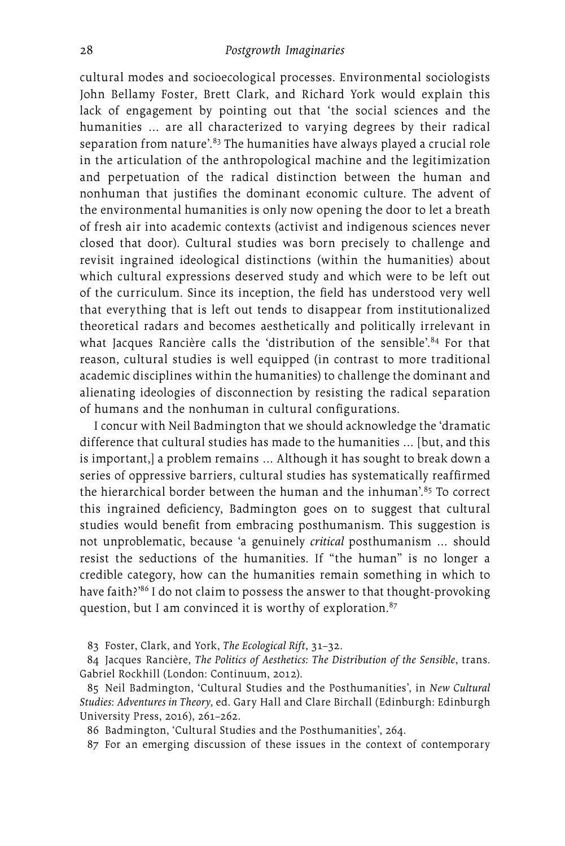cultural modes and socioecological processes. Environmental sociologists John Bellamy Foster, Brett Clark, and Richard York would explain this lack of engagement by pointing out that 'the social sciences and the humanities … are all characterized to varying degrees by their radical separation from nature<sup>'.83</sup> The humanities have always played a crucial role in the articulation of the anthropological machine and the legitimization and perpetuation of the radical distinction between the human and nonhuman that justifies the dominant economic culture. The advent of the environmental humanities is only now opening the door to let a breath of fresh air into academic contexts (activist and indigenous sciences never closed that door). Cultural studies was born precisely to challenge and revisit ingrained ideological distinctions (within the humanities) about which cultural expressions deserved study and which were to be left out of the curriculum. Since its inception, the field has understood very well that everything that is left out tends to disappear from institutionalized theoretical radars and becomes aesthetically and politically irrelevant in what Jacques Rancière calls the 'distribution of the sensible'.<sup>84</sup> For that reason, cultural studies is well equipped (in contrast to more traditional academic disciplines within the humanities) to challenge the dominant and alienating ideologies of disconnection by resisting the radical separation of humans and the nonhuman in cultural configurations.

I concur with Neil Badmington that we should acknowledge the 'dramatic difference that cultural studies has made to the humanities … [but, and this is important,] a problem remains … Although it has sought to break down a series of oppressive barriers, cultural studies has systematically reaffirmed the hierarchical border between the human and the inhuman'. $85$  To correct this ingrained deficiency, Badmington goes on to suggest that cultural studies would benefit from embracing posthumanism. This suggestion is not unproblematic, because 'a genuinely *critical* posthumanism … should resist the seductions of the humanities. If "the human" is no longer a credible category, how can the humanities remain something in which to have faith?'86 I do not claim to possess the answer to that thought-provoking question, but I am convinced it is worthy of exploration.<sup>87</sup>

83 Foster, Clark, and York, *The Ecological Rift*, 31–32.

84 Jacques Rancière, *The Politics of Aesthetics: The Distribution of the Sensible*, trans. Gabriel Rockhill (London: Continuum, 2012).

85 Neil Badmington, 'Cultural Studies and the Posthumanities', in *New Cultural Studies: Adventures in Theory*, ed. Gary Hall and Clare Birchall (Edinburgh: Edinburgh University Press, 2016), 261–262.

86 Badmington, 'Cultural Studies and the Posthumanities', 264.

87 For an emerging discussion of these issues in the context of contemporary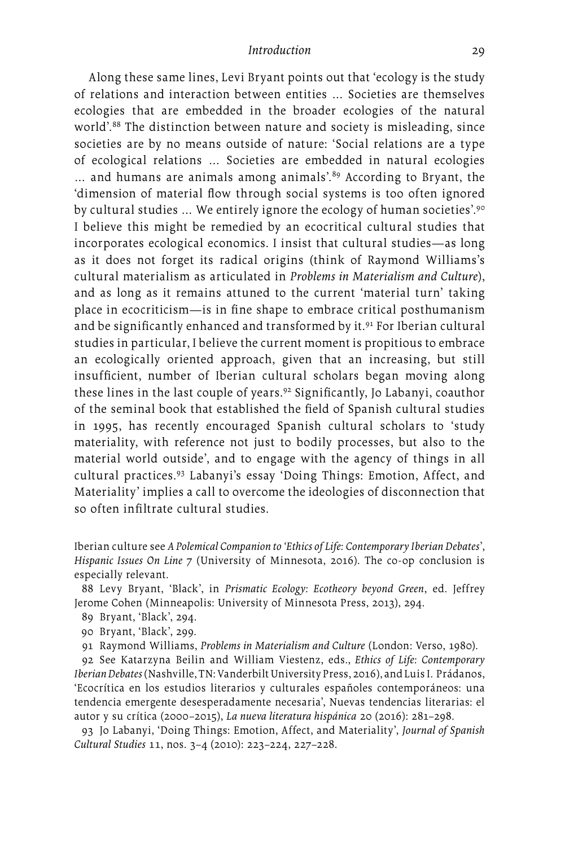Along these same lines, Levi Bryant points out that 'ecology is the study of relations and interaction between entities … Societies are themselves ecologies that are embedded in the broader ecologies of the natural world'.88 The distinction between nature and society is misleading, since societies are by no means outside of nature: 'Social relations are a type of ecological relations … Societies are embedded in natural ecologies ... and humans are animals among animals<sup>'89</sup> According to Bryant, the 'dimension of material flow through social systems is too often ignored by cultural studies ... We entirely ignore the ecology of human societies'.<sup>90</sup> I believe this might be remedied by an ecocritical cultural studies that incorporates ecological economics. I insist that cultural studies—as long as it does not forget its radical origins (think of Raymond Williams's cultural materialism as articulated in *Problems in Materialism and Culture*), and as long as it remains attuned to the current 'material turn' taking place in ecocriticism—is in fine shape to embrace critical posthumanism and be significantly enhanced and transformed by it.<sup>91</sup> For Iberian cultural studies in particular, I believe the current moment is propitious to embrace an ecologically oriented approach, given that an increasing, but still insufficient, number of Iberian cultural scholars began moving along these lines in the last couple of years.92 Significantly, Jo Labanyi, coauthor of the seminal book that established the field of Spanish cultural studies in 1995, has recently encouraged Spanish cultural scholars to 'study materiality, with reference not just to bodily processes, but also to the material world outside', and to engage with the agency of things in all cultural practices.93 Labanyi's essay 'Doing Things: Emotion, Affect, and Materiality' implies a call to overcome the ideologies of disconnection that so often infiltrate cultural studies.

Iberian culture see *A Polemical Companion to 'Ethics of Life: Contemporary Iberian Debates*', *Hispanic Issues On Line* 7 (University of Minnesota, 2016). The co-op conclusion is especially relevant.

88 Levy Bryant, 'Black', in *Prismatic Ecology: Ecotheory beyond Green*, ed. Jeffrey Jerome Cohen (Minneapolis: University of Minnesota Press, 2013), 294.

89 Bryant, 'Black', 294.

90 Bryant, 'Black', 299.

91 Raymond Williams, *Problems in Materialism and Culture* (London: Verso, 1980).

92 See Katarzyna Beilin and William Viestenz, eds., *Ethics of Life: Contemporary IberianDebates* (Nashville, TN: Vanderbilt University Press, 2016), and Luis I. Prádanos, 'Ecocrítica en los estudios literarios y culturales españoles contemporáneos: una tendencia emergente desesperadamente necesaria', Nuevas tendencias literarias: el autor y su crítica (2000–2015), *La nueva literatura hispánica* 20 (2016): 281–298.

93 Jo Labanyi, 'Doing Things: Emotion, Affect, and Materiality', *Journal of Spanish Cultural Studies* 11, nos. 3–4 (2010): 223–224, 227–228.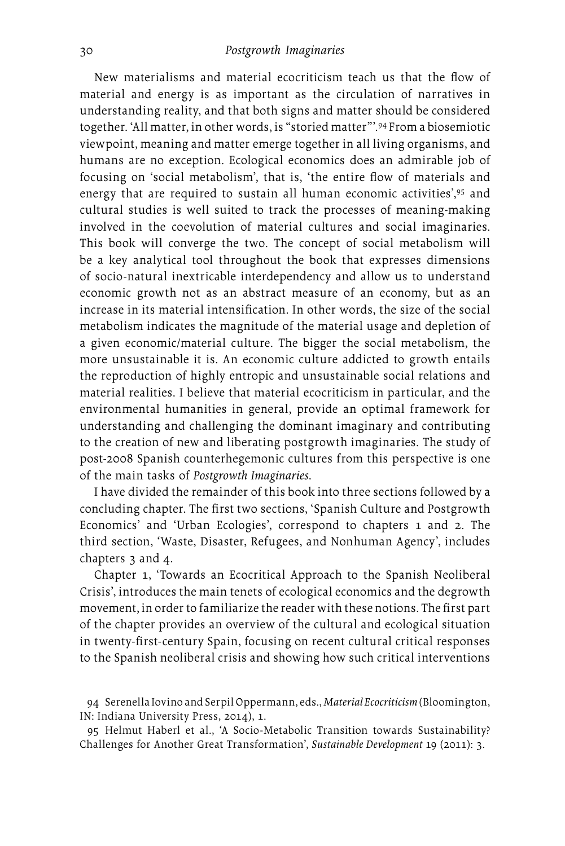New materialisms and material ecocriticism teach us that the flow of material and energy is as important as the circulation of narratives in understanding reality, and that both signs and matter should be considered together. 'All matter, in other words, is "storied matter"'.94 From a biosemiotic viewpoint, meaning and matter emerge together in all living organisms, and humans are no exception. Ecological economics does an admirable job of focusing on 'social metabolism', that is, 'the entire flow of materials and energy that are required to sustain all human economic activities', 95 and cultural studies is well suited to track the processes of meaning-making involved in the coevolution of material cultures and social imaginaries. This book will converge the two. The concept of social metabolism will be a key analytical tool throughout the book that expresses dimensions of socio-natural inextricable interdependency and allow us to understand economic growth not as an abstract measure of an economy, but as an increase in its material intensification. In other words, the size of the social metabolism indicates the magnitude of the material usage and depletion of a given economic/material culture. The bigger the social metabolism, the more unsustainable it is. An economic culture addicted to growth entails the reproduction of highly entropic and unsustainable social relations and material realities. I believe that material ecocriticism in particular, and the environmental humanities in general, provide an optimal framework for understanding and challenging the dominant imaginary and contributing to the creation of new and liberating postgrowth imaginaries. The study of post-2008 Spanish counterhegemonic cultures from this perspective is one of the main tasks of *Postgrowth Imaginaries*.

I have divided the remainder of this book into three sections followed by a concluding chapter. The first two sections, 'Spanish Culture and Postgrowth Economics' and 'Urban Ecologies', correspond to chapters 1 and 2. The third section, 'Waste, Disaster, Refugees, and Nonhuman Agency', includes chapters 3 and 4.

Chapter 1, 'Towards an Ecocritical Approach to the Spanish Neoliberal Crisis', introduces the main tenets of ecological economics and the degrowth movement, in order to familiarize the reader with these notions. The first part of the chapter provides an overview of the cultural and ecological situation in twenty-first-century Spain, focusing on recent cultural critical responses to the Spanish neoliberal crisis and showing how such critical interventions

94 Serenella Iovino and Serpil Oppermann, eds., *Material Ecocriticism* (Bloomington, IN: Indiana University Press, 2014), 1.

95 Helmut Haberl et al., 'A Socio-Metabolic Transition towards Sustainability? Challenges for Another Great Transformation', *Sustainable Development* 19 (2011): 3.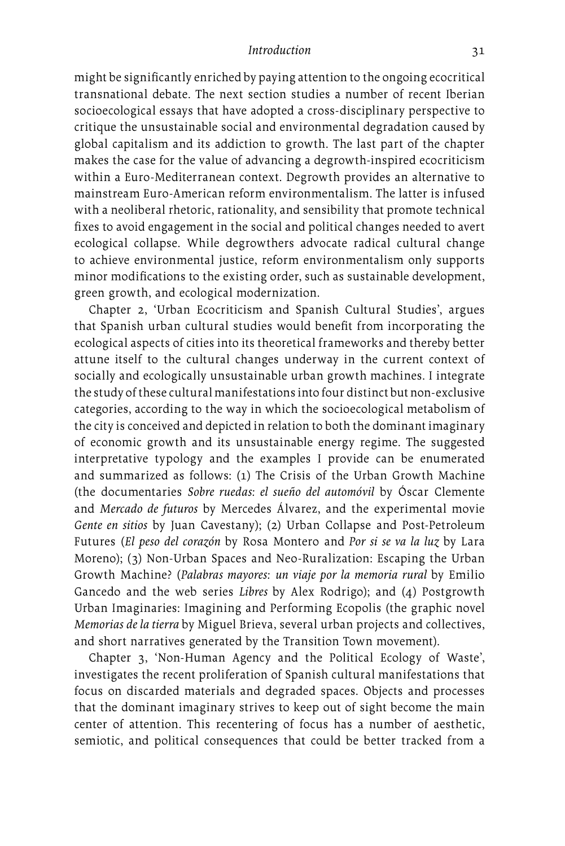might be significantly enriched by paying attention to the ongoing ecocritical transnational debate. The next section studies a number of recent Iberian socioecological essays that have adopted a cross-disciplinary perspective to critique the unsustainable social and environmental degradation caused by global capitalism and its addiction to growth. The last part of the chapter makes the case for the value of advancing a degrowth-inspired ecocriticism within a Euro-Mediterranean context. Degrowth provides an alternative to mainstream Euro-American reform environmentalism. The latter is infused with a neoliberal rhetoric, rationality, and sensibility that promote technical fixes to avoid engagement in the social and political changes needed to avert ecological collapse. While degrowthers advocate radical cultural change to achieve environmental justice, reform environmentalism only supports minor modifications to the existing order, such as sustainable development, green growth, and ecological modernization.

Chapter 2, 'Urban Ecocriticism and Spanish Cultural Studies', argues that Spanish urban cultural studies would benefit from incorporating the ecological aspects of cities into its theoretical frameworks and thereby better attune itself to the cultural changes underway in the current context of socially and ecologically unsustainable urban growth machines. I integrate the study of these cultural manifestations into four distinct but non-exclusive categories, according to the way in which the socioecological metabolism of the city is conceived and depicted in relation to both the dominant imaginary of economic growth and its unsustainable energy regime. The suggested interpretative typology and the examples I provide can be enumerated and summarized as follows: (1) The Crisis of the Urban Growth Machine (the documentaries *Sobre ruedas: el sueño del automóvil* by Óscar Clemente and *Mercado de futuros* by Mercedes Álvarez, and the experimental movie *Gente en sitios* by Juan Cavestany); (2) Urban Collapse and Post-Petroleum Futures (*El peso del corazón* by Rosa Montero and *Por si se va la luz* by Lara Moreno); (3) Non-Urban Spaces and Neo-Ruralization: Escaping the Urban Growth Machine? (*Palabras mayores: un viaje por la memoria rural* by Emilio Gancedo and the web series *Libres* by Alex Rodrigo); and (4) Postgrowth Urban Imaginaries: Imagining and Performing Ecopolis (the graphic novel *Memorias de la tierra* by Miguel Brieva, several urban projects and collectives, and short narratives generated by the Transition Town movement).

Chapter 3, 'Non-Human Agency and the Political Ecology of Waste', investigates the recent proliferation of Spanish cultural manifestations that focus on discarded materials and degraded spaces. Objects and processes that the dominant imaginary strives to keep out of sight become the main center of attention. This recentering of focus has a number of aesthetic, semiotic, and political consequences that could be better tracked from a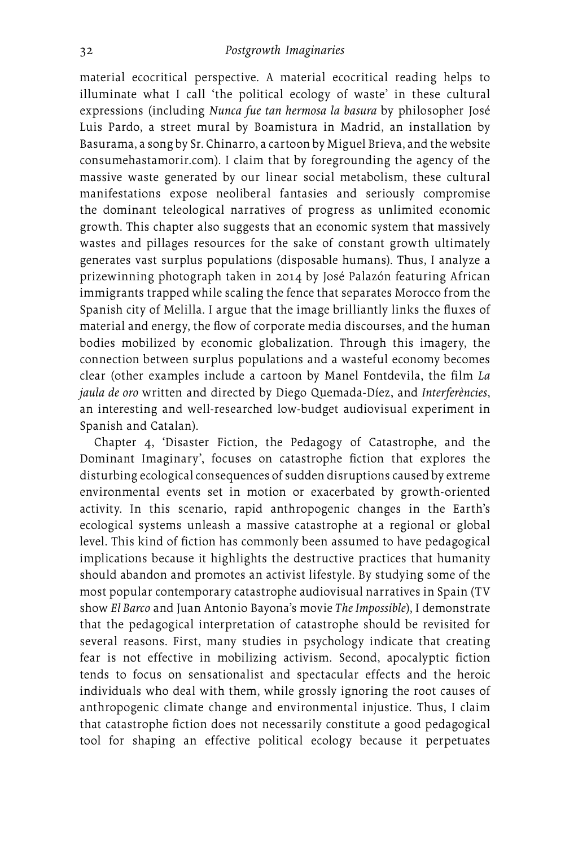material ecocritical perspective. A material ecocritical reading helps to illuminate what I call 'the political ecology of waste' in these cultural expressions (including *Nunca fue tan hermosa la basura* by philosopher José Luis Pardo, a street mural by Boamistura in Madrid, an installation by Basurama, a song by Sr. Chinarro, a cartoon by Miguel Brieva, and the website [consumehastamorir.com\)](consumehastamorir.com). I claim that by foregrounding the agency of the massive waste generated by our linear social metabolism, these cultural manifestations expose neoliberal fantasies and seriously compromise the dominant teleological narratives of progress as unlimited economic growth. This chapter also suggests that an economic system that massively wastes and pillages resources for the sake of constant growth ultimately generates vast surplus populations (disposable humans). Thus, I analyze a prizewinning photograph taken in 2014 by José Palazón featuring African immigrants trapped while scaling the fence that separates Morocco from the Spanish city of Melilla. I argue that the image brilliantly links the fluxes of material and energy, the flow of corporate media discourses, and the human bodies mobilized by economic globalization. Through this imagery, the connection between surplus populations and a wasteful economy becomes clear (other examples include a cartoon by Manel Fontdevila, the film *La jaula de oro* written and directed by Diego Quemada-Díez, and *Interferències*, an interesting and well-researched low-budget audiovisual experiment in Spanish and Catalan).

Chapter 4, 'Disaster Fiction, the Pedagogy of Catastrophe, and the Dominant Imaginary', focuses on catastrophe fiction that explores the disturbing ecological consequences of sudden disruptions caused by extreme environmental events set in motion or exacerbated by growth-oriented activity. In this scenario, rapid anthropogenic changes in the Earth's ecological systems unleash a massive catastrophe at a regional or global level. This kind of fiction has commonly been assumed to have pedagogical implications because it highlights the destructive practices that humanity should abandon and promotes an activist lifestyle. By studying some of the most popular contemporary catastrophe audiovisual narratives in Spain (TV show *El Barco* and Juan Antonio Bayona's movie *The Impossible*), I demonstrate that the pedagogical interpretation of catastrophe should be revisited for several reasons. First, many studies in psychology indicate that creating fear is not effective in mobilizing activism. Second, apocalyptic fiction tends to focus on sensationalist and spectacular effects and the heroic individuals who deal with them, while grossly ignoring the root causes of anthropogenic climate change and environmental injustice. Thus, I claim that catastrophe fiction does not necessarily constitute a good pedagogical tool for shaping an effective political ecology because it perpetuates